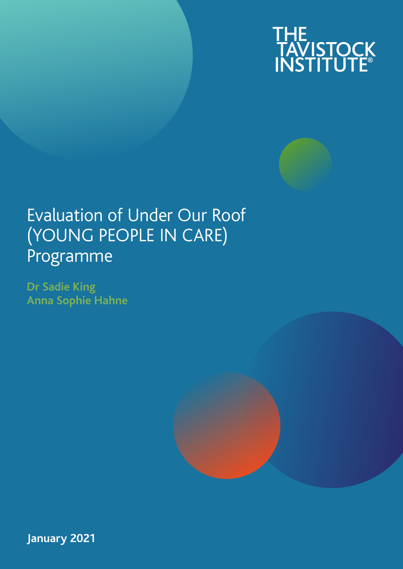

# Evaluation of Under Our Roof (YOUNG PEOPLE IN CARE) Programme

**Dr Sadie King Anna Sophie Hahne**



**January 2021**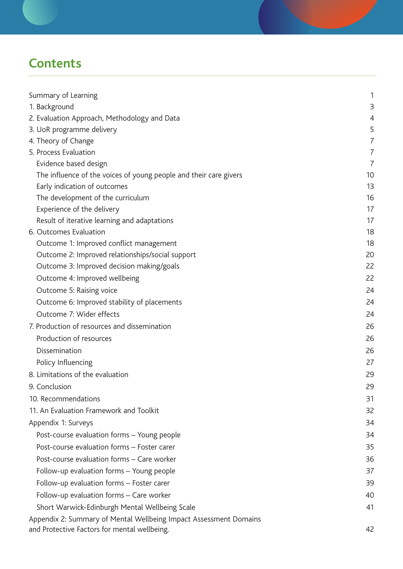# **Contents**

| Summary of Learning                                                                                               | 1              |
|-------------------------------------------------------------------------------------------------------------------|----------------|
| 1. Background                                                                                                     | 3              |
| 2. Evaluation Approach, Methodology and Data                                                                      | 4              |
| 3. UoR programme delivery                                                                                         | 5              |
| 4. Theory of Change                                                                                               | 7              |
| 5. Process Evaluation                                                                                             | $\overline{7}$ |
| Evidence based design                                                                                             | $\overline{7}$ |
| The influence of the voices of young people and their care givers                                                 | 10             |
| Early indication of outcomes                                                                                      | 13<br>16       |
| The development of the curriculum<br>Experience of the delivery                                                   | 17             |
| Result of iterative learning and adaptations                                                                      | 17             |
| 6. Outcomes Evaluation                                                                                            | 18             |
| Outcome 1: Improved conflict management                                                                           | 18             |
| Outcome 2: Improved relationships/social support                                                                  | 20             |
| Outcome 3: Improved decision making/goals                                                                         | 22             |
| Outcome 4: Improved wellbeing                                                                                     | 22             |
| Outcome 5: Raising voice                                                                                          | 24             |
| Outcome 6: Improved stability of placements                                                                       | 24             |
| Outcome 7: Wider effects                                                                                          | 24             |
| 7. Production of resources and dissemination                                                                      | 26             |
| Production of resources                                                                                           | 26             |
| Dissemination                                                                                                     | 26             |
|                                                                                                                   | 27             |
| Policy Influencing<br>8. Limitations of the evaluation                                                            | 29             |
|                                                                                                                   |                |
| 9. Conclusion                                                                                                     | 29             |
| 10. Recommendations                                                                                               | 31             |
| 11. An Evaluation Framework and Toolkit                                                                           | 32             |
| Appendix 1: Surveys                                                                                               | 34             |
| Post-course evaluation forms - Young people                                                                       | 34             |
| Post-course evaluation forms - Foster carer                                                                       | 35             |
| Post-course evaluation forms - Care worker                                                                        | 36             |
| Follow-up evaluation forms - Young people                                                                         | 37             |
| Follow-up evaluation forms - Foster carer                                                                         | 39             |
| Follow-up evaluation forms - Care worker                                                                          | 40             |
| Short Warwick-Edinburgh Mental Wellbeing Scale                                                                    | 41             |
| Appendix 2: Summary of Mental Wellbeing Impact Assessment Domains<br>and Protective Factors for mental wellbeing. | 42             |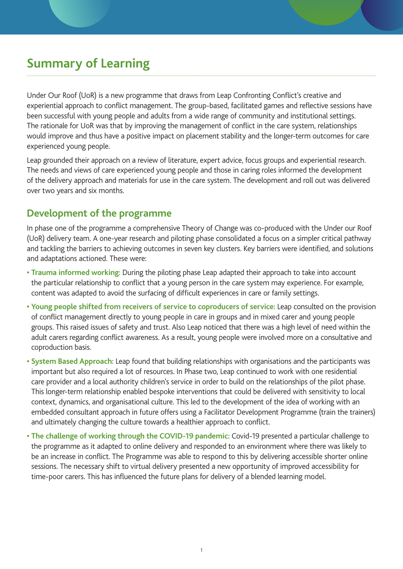# **Summary of Learning**

Under Our Roof (UoR) is a new programme that draws from Leap Confronting Conflict's creative and experiential approach to conflict management. The group-based, facilitated games and reflective sessions have been successful with young people and adults from a wide range of community and institutional settings. The rationale for UoR was that by improving the management of conflict in the care system, relationships would improve and thus have a positive impact on placement stability and the longer-term outcomes for care experienced young people.

Leap grounded their approach on a review of literature, expert advice, focus groups and experiential research. The needs and views of care experienced young people and those in caring roles informed the development of the delivery approach and materials for use in the care system. The development and roll out was delivered over two years and six months.

## **Development of the programme**

In phase one of the programme a comprehensive Theory of Change was co-produced with the Under our Roof (UoR) delivery team. A one-year research and piloting phase consolidated a focus on a simpler critical pathway and tackling the barriers to achieving outcomes in seven key clusters. Key barriers were identified, and solutions and adaptations actioned. These were:

- **Trauma informed working:** During the piloting phase Leap adapted their approach to take into account the particular relationship to conflict that a young person in the care system may experience. For example, content was adapted to avoid the surfacing of difficult experiences in care or family settings.
- **Young people shifted from receivers of service to coproducers of service:** Leap consulted on the provision of conflict management directly to young people in care in groups and in mixed carer and young people groups. This raised issues of safety and trust. Also Leap noticed that there was a high level of need within the adult carers regarding conflict awareness. As a result, young people were involved more on a consultative and coproduction basis.
- **System Based Approach:** Leap found that building relationships with organisations and the participants was important but also required a lot of resources. In Phase two, Leap continued to work with one residential care provider and a local authority children's service in order to build on the relationships of the pilot phase. This longer-term relationship enabled bespoke interventions that could be delivered with sensitivity to local context, dynamics, and organisational culture. This led to the development of the idea of working with an embedded consultant approach in future offers using a Facilitator Development Programme (train the trainers) and ultimately changing the culture towards a healthier approach to conflict.
- **The challenge of working through the COVID-19 pandemic:** Covid-19 presented a particular challenge to the programme as it adapted to online delivery and responded to an environment where there was likely to be an increase in conflict. The Programme was able to respond to this by delivering accessible shorter online sessions. The necessary shift to virtual delivery presented a new opportunity of improved accessibility for time-poor carers. This has influenced the future plans for delivery of a blended learning model.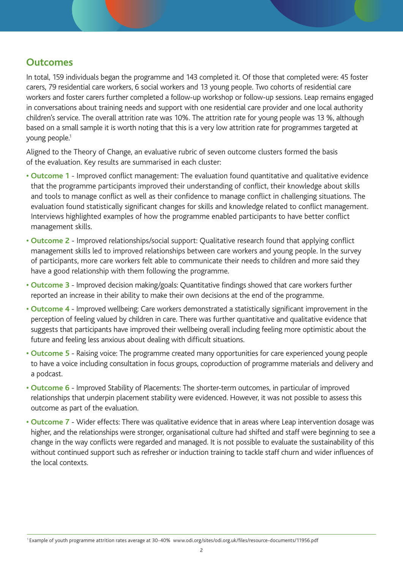## **Outcomes**

In total, 159 individuals began the programme and 143 completed it. Of those that completed were: 45 foster carers, 79 residential care workers, 6 social workers and 13 young people. Two cohorts of residential care workers and foster carers further completed a follow-up workshop or follow-up sessions. Leap remains engaged in conversations about training needs and support with one residential care provider and one local authority children's service. The overall attrition rate was 10%. The attrition rate for young people was 13 %, although based on a small sample it is worth noting that this is a very low attrition rate for programmes targeted at young people.<sup>1</sup>

Aligned to the Theory of Change, an evaluative rubric of seven outcome clusters formed the basis of the evaluation. Key results are summarised in each cluster:

- Outcome 1 Improved conflict management: The evaluation found quantitative and qualitative evidence that the programme participants improved their understanding of conflict, their knowledge about skills and tools to manage conflict as well as their confidence to manage conflict in challenging situations. The evaluation found statistically significant changes for skills and knowledge related to conflict management. Interviews highlighted examples of how the programme enabled participants to have better conflict management skills.
- **Outcome 2** Improved relationships/social support: Qualitative research found that applying conflict management skills led to improved relationships between care workers and young people. In the survey of participants, more care workers felt able to communicate their needs to children and more said they have a good relationship with them following the programme.
- **Outcome 3** Improved decision making/goals: Quantitative findings showed that care workers further reported an increase in their ability to make their own decisions at the end of the programme.
- **Outcome 4** Improved wellbeing: Care workers demonstrated a statistically significant improvement in the perception of feeling valued by children in care. There was further quantitative and qualitative evidence that suggests that participants have improved their wellbeing overall including feeling more optimistic about the future and feeling less anxious about dealing with difficult situations.
- **Outcome 5** Raising voice: The programme created many opportunities for care experienced young people to have a voice including consultation in focus groups, coproduction of programme materials and delivery and a podcast.
- **Outcome 6** Improved Stability of Placements: The shorter-term outcomes, in particular of improved relationships that underpin placement stability were evidenced. However, it was not possible to assess this outcome as part of the evaluation.
- **Outcome 7** Wider effects: There was qualitative evidence that in areas where Leap intervention dosage was higher, and the relationships were stronger, organisational culture had shifted and staff were beginning to see a change in the way conflicts were regarded and managed. It is not possible to evaluate the sustainability of this without continued support such as refresher or induction training to tackle staff churn and wider influences of the local contexts.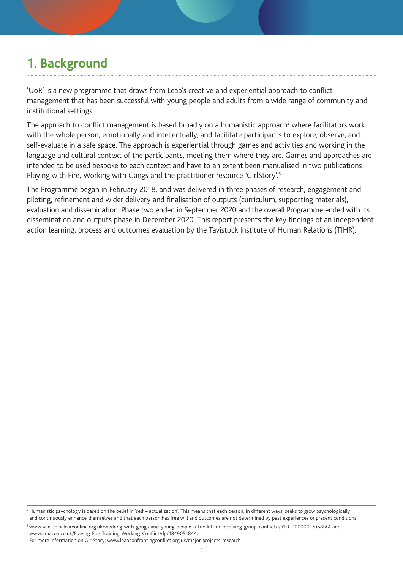# **1. Background**

'UoR' is a new programme that draws from Leap's creative and experiential approach to conflict management that has been successful with young people and adults from a wide range of community and institutional settings.

The approach to conflict management is based broadly on a humanistic approach<sup>2</sup> where facilitators work with the whole person, emotionally and intellectually, and facilitate participants to explore, observe, and self-evaluate in a safe space. The approach is experiential through games and activities and working in the language and cultural context of the participants, meeting them where they are. Games and approaches are intended to be used bespoke to each context and have to an extent been manualised in two publications Playing with Fire, Working with Gangs and the practitioner resource 'GirlStory'.<sup>3</sup>

The Programme began in February 2018, and was delivered in three phases of research, engagement and piloting, refinement and wider delivery and finalisation of outputs (curriculum, supporting materials), evaluation and dissemination. Phase two ended in September 2020 and the overall Programme ended with its dissemination and outputs phase in December 2020. This report presents the key findings of an independent action learning, process and outcomes evaluation by the Tavistock Institute of Human Relations (TIHR).

<sup>&</sup>lt;sup>2</sup> Humanistic psychology is based on the belief in 'self – actualization'. This means that each person, in different ways, seeks to grow psychologically and continuously enhance themselves and that each person has free will and outcomes are not determined by past experiences or present conditions.

<sup>3</sup> www.scie-socialcareonline.org.uk/working-with-gangs-and-young-people-a-toolkit-for-resolving-group-conflict/r/a11G00000017u68IAA and www.amazon.co.uk/Playing-Fire-Training-Working-Conflict/dp/1849051844.

For more information on GirlStory: www.leapconfrontingconflict.org.uk/major-projects-research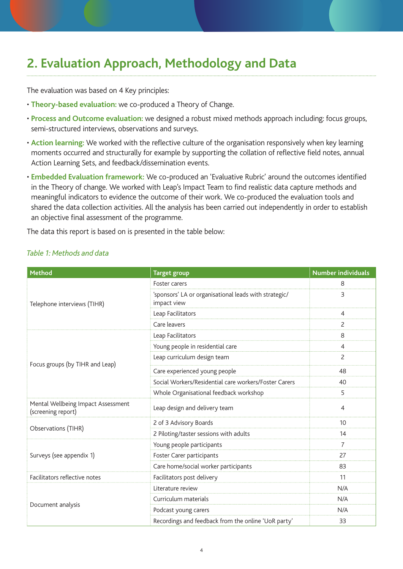# **2. Evaluation Approach, Methodology and Data**

The evaluation was based on 4 Key principles:

- **Theory-based evaluation:** we co-produced a Theory of Change.
- **Process and Outcome evaluation:** we designed a robust mixed methods approach including: focus groups, semi-structured interviews, observations and surveys.
- **Action learning:** We worked with the reflective culture of the organisation responsively when key learning moments occurred and structurally for example by supporting the collation of reflective field notes, annual Action Learning Sets, and feedback/dissemination events.
- **Embedded Evaluation framework:** We co-produced an 'Evaluative Rubric' around the outcomes identified in the Theory of change. We worked with Leap's Impact Team to find realistic data capture methods and meaningful indicators to evidence the outcome of their work. We co-produced the evaluation tools and shared the data collection activities. All the analysis has been carried out independently in order to establish an objective final assessment of the programme.

The data this report is based on is presented in the table below:

| <b>Method</b>                                            | <b>Target group</b>                                                  | <b>Number individuals</b> |
|----------------------------------------------------------|----------------------------------------------------------------------|---------------------------|
|                                                          | Foster carers                                                        | 8                         |
| Telephone interviews (TIHR)                              | 'sponsors' LA or organisational leads with strategic/<br>impact view | 3                         |
|                                                          | Leap Facilitators                                                    | $\overline{4}$            |
|                                                          | Care leavers                                                         | 2                         |
|                                                          | Leap Facilitators                                                    | 8                         |
|                                                          | Young people in residential care                                     | 4                         |
| Focus groups (by TIHR and Leap)                          | Leap curriculum design team                                          | 2                         |
|                                                          | Care experienced young people                                        | 48                        |
|                                                          | Social Workers/Residential care workers/Foster Carers                | 40                        |
|                                                          | Whole Organisational feedback workshop                               | 5                         |
| Mental Wellbeing Impact Assessment<br>(screening report) | Leap design and delivery team                                        | 4                         |
|                                                          | 2 of 3 Advisory Boards                                               | 10                        |
| Observations (TIHR)                                      | 2 Piloting/taster sessions with adults                               | 14                        |
|                                                          | Young people participants                                            | 7                         |
| Surveys (see appendix 1)                                 | Foster Carer participants                                            | 27                        |
|                                                          | Care home/social worker participants                                 | 83                        |
| Facilitators reflective notes                            | Facilitators post delivery                                           | 11                        |
|                                                          | Literature review                                                    | N/A                       |
|                                                          | Curriculum materials                                                 | N/A                       |
| Document analysis                                        | Podcast young carers                                                 | N/A                       |
|                                                          | Recordings and feedback from the online 'UoR party'                  | 33                        |

#### *Table 1: Methods and data*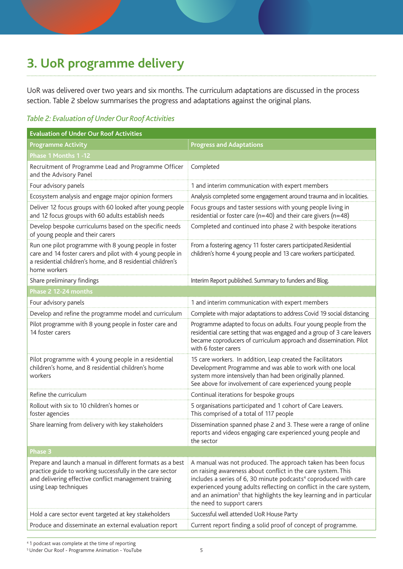# **3. UoR programme delivery**

UoR was delivered over two years and six months. The curriculum adaptations are discussed in the process section. Table 2 sbelow summarises the progress and adaptations against the original plans.

#### *Table 2: Evaluation of Under Our Roof Activities*

| <b>Evaluation of Under Our Roof Activities</b>                                                                                                                                                            |                                                                                                                                                                                                                                                                                                                                                                                                       |
|-----------------------------------------------------------------------------------------------------------------------------------------------------------------------------------------------------------|-------------------------------------------------------------------------------------------------------------------------------------------------------------------------------------------------------------------------------------------------------------------------------------------------------------------------------------------------------------------------------------------------------|
| <b>Programme Activity</b>                                                                                                                                                                                 | <b>Progress and Adaptations</b>                                                                                                                                                                                                                                                                                                                                                                       |
| Phase 1 Months 1-12                                                                                                                                                                                       |                                                                                                                                                                                                                                                                                                                                                                                                       |
| Recruitment of Programme Lead and Programme Officer<br>and the Advisory Panel                                                                                                                             | Completed                                                                                                                                                                                                                                                                                                                                                                                             |
| Four advisory panels                                                                                                                                                                                      | 1 and interim communication with expert members                                                                                                                                                                                                                                                                                                                                                       |
| Ecosystem analysis and engage major opinion formers                                                                                                                                                       | Analysis completed some engagement around trauma and in localities.                                                                                                                                                                                                                                                                                                                                   |
| Deliver 12 focus groups with 60 looked after young people<br>and 12 focus groups with 60 adults establish needs                                                                                           | Focus groups and taster sessions with young people living in<br>residential or foster care ( $n=40$ ) and their care givers ( $n=48$ )                                                                                                                                                                                                                                                                |
| Develop bespoke curriculums based on the specific needs<br>of young people and their carers                                                                                                               | Completed and continued into phase 2 with bespoke iterations                                                                                                                                                                                                                                                                                                                                          |
| Run one pilot programme with 8 young people in foster<br>care and 14 foster carers and pilot with 4 young people in<br>a residential children's home, and 8 residential children's<br>home workers        | From a fostering agency 11 foster carers participated.Residential<br>children's home 4 young people and 13 care workers participated.                                                                                                                                                                                                                                                                 |
| Share preliminary findings                                                                                                                                                                                | Interim Report published. Summary to funders and Blog.                                                                                                                                                                                                                                                                                                                                                |
| Phase 2 12-24 months                                                                                                                                                                                      |                                                                                                                                                                                                                                                                                                                                                                                                       |
| Four advisory panels                                                                                                                                                                                      | 1 and interim communication with expert members                                                                                                                                                                                                                                                                                                                                                       |
| Develop and refine the programme model and curriculum                                                                                                                                                     | Complete with major adaptations to address Covid 19 social distancing                                                                                                                                                                                                                                                                                                                                 |
| Pilot programme with 8 young people in foster care and<br>14 foster carers                                                                                                                                | Programme adapted to focus on adults. Four young people from the<br>residential care setting that was engaged and a group of 3 care leavers<br>became coproducers of curriculum approach and dissemination. Pilot<br>with 6 foster carers                                                                                                                                                             |
| Pilot programme with 4 young people in a residential<br>children's home, and 8 residential children's home<br>workers                                                                                     | 15 care workers. In addition, Leap created the Facilitators<br>Development Programme and was able to work with one local<br>system more intensively than had been originally planned.<br>See above for involvement of care experienced young people                                                                                                                                                   |
| Refine the curriculum                                                                                                                                                                                     | Continual iterations for bespoke groups                                                                                                                                                                                                                                                                                                                                                               |
| Rollout with six to 10 children's homes or<br>foster agencies                                                                                                                                             | 5 organisations participated and 1 cohort of Care Leavers.<br>This comprised of a total of 117 people                                                                                                                                                                                                                                                                                                 |
| Share learning from delivery with key stakeholders                                                                                                                                                        | Dissemination spanned phase 2 and 3. These were a range of online<br>reports and videos engaging care experienced young people and<br>the sector                                                                                                                                                                                                                                                      |
| <b>Phase 3</b>                                                                                                                                                                                            |                                                                                                                                                                                                                                                                                                                                                                                                       |
| Prepare and launch a manual in different formats as a best<br>practice guide to working successfully in the care sector<br>and delivering effective conflict management training<br>using Leap techniques | A manual was not produced. The approach taken has been focus<br>on raising awareness about conflict in the care system. This<br>includes a series of 6, 30 minute podcasts <sup>4</sup> coproduced with care<br>experienced young adults reflecting on conflict in the care system,<br>and an animation <sup>5</sup> that highlights the key learning and in particular<br>the need to support carers |
| Hold a care sector event targeted at key stakeholders                                                                                                                                                     | Successful well attended UoR House Party                                                                                                                                                                                                                                                                                                                                                              |
| Produce and disseminate an external evaluation report                                                                                                                                                     | Current report finding a solid proof of concept of programme.                                                                                                                                                                                                                                                                                                                                         |

4 1 podcast was complete at the time of reporting

<sup>5</sup> Under Our Roof - Programme Animation - YouTube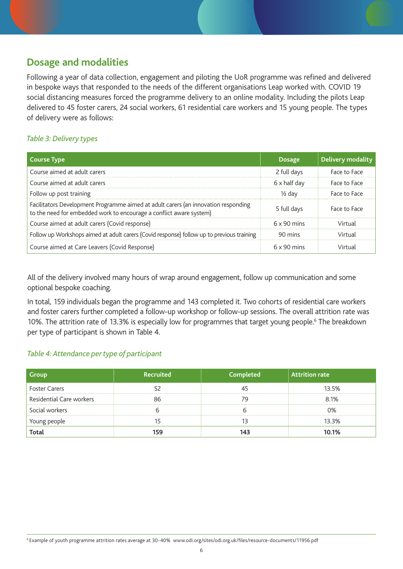## **Dosage and modalities**

Following a year of data collection, engagement and piloting the UoR programme was refined and delivered in bespoke ways that responded to the needs of the different organisations Leap worked with. COVID 19 social distancing measures forced the programme delivery to an online modality. Including the pilots Leap delivered to 45 foster carers, 24 social workers, 61 residential care workers and 15 young people. The types of delivery were as follows:

#### *Table 3: Delivery types*

| Course Type                                                                                                                                               | <b>Dosage</b>      | Delivery modality |
|-----------------------------------------------------------------------------------------------------------------------------------------------------------|--------------------|-------------------|
| Course aimed at adult carers                                                                                                                              | 2 full days        | Face to Face      |
| Course aimed at adult carers                                                                                                                              | 6 x half day       | Face to Face      |
| Follow up post training                                                                                                                                   | $\frac{1}{2}$ day  | Face to Face      |
| Facilitators Development Programme aimed at adult carers (an innovation responding<br>to the need for embedded work to encourage a conflict aware system) | 5 full days        | Face to Face      |
| Course aimed at adult carers (Covid response)                                                                                                             | $6 \times 90$ mins | Virtual           |
| Follow up Workshops aimed at adult carers (Covid response) follow up to previous training                                                                 | 90 mins            | Virtual           |
| Course aimed at Care Leavers (Covid Response)                                                                                                             | $6 \times 90$ mins | Virtual           |

All of the delivery involved many hours of wrap around engagement, follow up communication and some optional bespoke coaching.

In total, 159 individuals began the programme and 143 completed it. Two cohorts of residential care workers and foster carers further completed a follow-up workshop or follow-up sessions. The overall attrition rate was 10%. The attrition rate of 13.3% is especially low for programmes that target young people.<sup>6</sup> The breakdown per type of participant is shown in Table 4.

#### *Table 4: Attendance per type of participant*

| Recruited<br><b>Group</b> |     | Completed | <b>Attrition rate</b> |  |  |
|---------------------------|-----|-----------|-----------------------|--|--|
| <b>Foster Carers</b>      |     |           | 13.5%                 |  |  |
| Residential Care workers  |     |           | 8.1%                  |  |  |
| Social workers            |     |           | ገ%                    |  |  |
| Young people              |     |           | 13.3%                 |  |  |
| Total                     | 159 |           | 10.1%                 |  |  |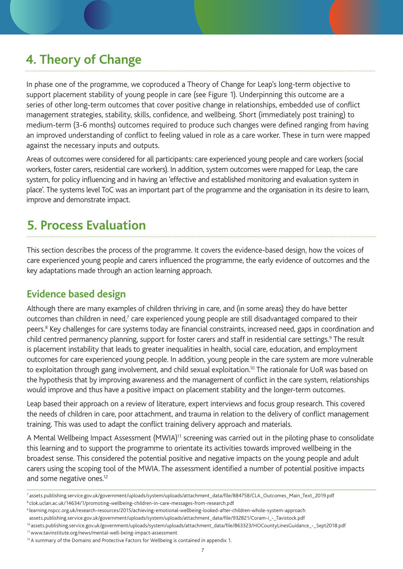# **4. Theory of Change**

In phase one of the programme, we coproduced a Theory of Change for Leap's long-term objective to support placement stability of young people in care (see Figure 1). Underpinning this outcome are a series of other long-term outcomes that cover positive change in relationships, embedded use of conflict management strategies, stability, skills, confidence, and wellbeing. Short (immediately post training) to medium-term (3-6 months) outcomes required to produce such changes were defined ranging from having an improved understanding of conflict to feeling valued in role as a care worker. These in turn were mapped against the necessary inputs and outputs.

Areas of outcomes were considered for all participants: care experienced young people and care workers (social workers, foster carers, residential care workers). In addition, system outcomes were mapped for Leap, the care system, for policy influencing and in having an 'effective and established monitoring and evaluation system in place'. The systems level ToC was an important part of the programme and the organisation in its desire to learn, improve and demonstrate impact.

# **5. Process Evaluation**

This section describes the process of the programme. It covers the evidence-based design, how the voices of care experienced young people and carers influenced the programme, the early evidence of outcomes and the key adaptations made through an action learning approach.

## **Evidence based design**

Although there are many examples of children thriving in care, and (in some areas) they do have better outcomes than children in need, $7$  care experienced young people are still disadvantaged compared to their peers.<sup>8</sup> Key challenges for care systems today are financial constraints, increased need, gaps in coordination and child centred permanency planning, support for foster carers and staff in residential care settings.<sup>9</sup> The result is placement instability that leads to greater inequalities in health, social care, education, and employment outcomes for care experienced young people. In addition, young people in the care system are more vulnerable to exploitation through gang involvement, and child sexual exploitation.<sup>10</sup> The rationale for UoR was based on the hypothesis that by improving awareness and the management of conflict in the care system, relationships would improve and thus have a positive impact on placement stability and the longer-term outcomes.

Leap based their approach on a review of literature, expert interviews and focus group research. This covered the needs of children in care, poor attachment, and trauma in relation to the delivery of conflict management training. This was used to adapt the conflict training delivery approach and materials.

A Mental Wellbeing Impact Assessment (MWIA)<sup>11</sup> screening was carried out in the piloting phase to consolidate this learning and to support the programme to orientate its activities towards improved wellbeing in the broadest sense. This considered the potential positive and negative impacts on the young people and adult carers using the scoping tool of the MWIA. The assessment identified a number of potential positive impacts and some negative ones.<sup>12</sup>

[<sup>7</sup> assets.publishing.service.gov.uk/government/uploads/system/uploads/attachment\\_data/file/884758/CLA\\_Outcomes\\_Main\\_Text\\_2019.pdf](https://assets.publishing.service.gov.uk/government/uploads/system/uploads/attachment_data/file/884758/CLA_Outcomes_Main_Text_2019.pdf) 

<sup>8</sup> [clok.uclan.ac.uk/14634/1/promoting-wellbeing-children-in-care-messages-from-research.pdf](http://clok.uclan.ac.uk/14634/1/promoting-wellbeing-children-in-care-messages-from-research.pdf)

<sup>9</sup> [learning.nspcc.org.uk/research-resources/2015/achieving-emotional-wellbeing-looked-after-children-whole-system-approach](http://learning.nspcc.org.uk/research-resources/2015/achieving-emotional-wellbeing-looked-after-children-whole-system-approach)

assets.publishing.service.gov.uk/government/uploads/system/uploads/attachment\_data/file/932821/Coram-i\_-\_Tavistock.pdf

<sup>10</sup> [assets.publishing.service.gov.uk/government/uploads/system/uploads/attachment\\_data/file/863323/HOCountyLinesGuidance\\_-\\_Sept2018.pdf](https://assets.publishing.service.gov.uk/government/uploads/system/uploads/attachment_data/file/863323/HOCountyLinesGuidance_-_Sept2018.pdf) 11 www.tavinstitute.org/news/mental-well-being-impact-assessment

<sup>&</sup>lt;sup>12</sup> A summary of the Domains and Protective Factors for Wellbeing is contained in appendix 1.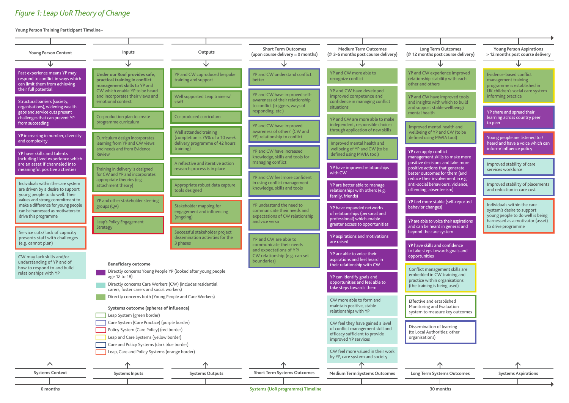#### *Figure 1: Leap UoR Theory of Change*

**Young Person Training Participant Timeline–**

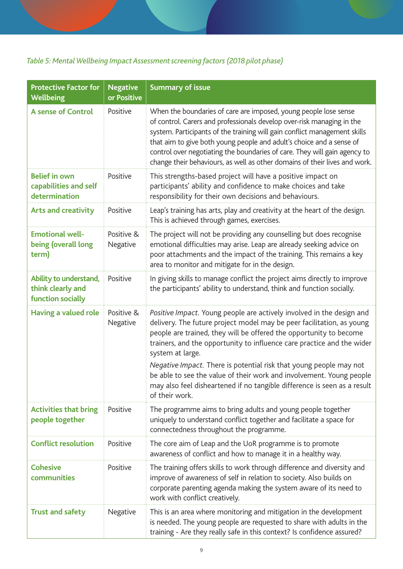## *Table 5: Mental Wellbeing Impact Assessment screening factors (2018 pilot phase)*

| <b>Protective Factor for</b><br><b>Wellbeing</b>                 | <b>Negative</b><br>or Positive | <b>Summary of issue</b>                                                                                                                                                                                                                                                                                                                                                                                                                                                                                                                                        |
|------------------------------------------------------------------|--------------------------------|----------------------------------------------------------------------------------------------------------------------------------------------------------------------------------------------------------------------------------------------------------------------------------------------------------------------------------------------------------------------------------------------------------------------------------------------------------------------------------------------------------------------------------------------------------------|
| <b>A sense of Control</b>                                        | Positive                       | When the boundaries of care are imposed, young people lose sense<br>of control. Carers and professionals develop over-risk managing in the<br>system. Participants of the training will gain conflict management skills<br>that aim to give both young people and adult's choice and a sense of<br>control over negotiating the boundaries of care. They will gain agency to<br>change their behaviours, as well as other domains of their lives and work.                                                                                                     |
| <b>Belief in own</b><br>capabilities and self<br>determination   | Positive                       | This strengths-based project will have a positive impact on<br>participants' ability and confidence to make choices and take<br>responsibility for their own decisions and behaviours.                                                                                                                                                                                                                                                                                                                                                                         |
| <b>Arts and creativity</b>                                       | Positive                       | Leap's training has arts, play and creativity at the heart of the design.<br>This is achieved through games, exercises.                                                                                                                                                                                                                                                                                                                                                                                                                                        |
| <b>Emotional well-</b><br>being (overall long<br>term)           | Positive &<br>Negative         | The project will not be providing any counselling but does recognise<br>emotional difficulties may arise. Leap are already seeking advice on<br>poor attachments and the impact of the training. This remains a key<br>area to monitor and mitigate for in the design.                                                                                                                                                                                                                                                                                         |
| Ability to understand,<br>think clearly and<br>function socially | Positive                       | In giving skills to manage conflict the project aims directly to improve<br>the participants' ability to understand, think and function socially.                                                                                                                                                                                                                                                                                                                                                                                                              |
| <b>Having a valued role</b>                                      | Positive &<br>Negative         | Positive Impact. Young people are actively involved in the design and<br>delivery. The future project model may be peer facilitation, as young<br>people are trained, they will be offered the opportunity to become<br>trainers, and the opportunity to influence care practice and the wider<br>system at large.<br>Negative Impact. There is potential risk that young people may not<br>be able to see the value of their work and involvement. Young people<br>may also feel disheartened if no tangible difference is seen as a result<br>of their work. |
| <b>Activities that bring</b><br>people together                  | Positive                       | The programme aims to bring adults and young people together<br>uniquely to understand conflict together and facilitate a space for<br>connectedness throughout the programme.                                                                                                                                                                                                                                                                                                                                                                                 |
| <b>Conflict resolution</b>                                       | Positive                       | The core aim of Leap and the UoR programme is to promote<br>awareness of conflict and how to manage it in a healthy way.                                                                                                                                                                                                                                                                                                                                                                                                                                       |
| <b>Cohesive</b><br>communities                                   | Positive                       | The training offers skills to work through difference and diversity and<br>improve of awareness of self in relation to society. Also builds on<br>corporate parenting agenda making the system aware of its need to<br>work with conflict creatively.                                                                                                                                                                                                                                                                                                          |
| <b>Trust and safety</b>                                          | Negative                       | This is an area where monitoring and mitigation in the development<br>is needed. The young people are requested to share with adults in the<br>training - Are they really safe in this context? Is confidence assured?                                                                                                                                                                                                                                                                                                                                         |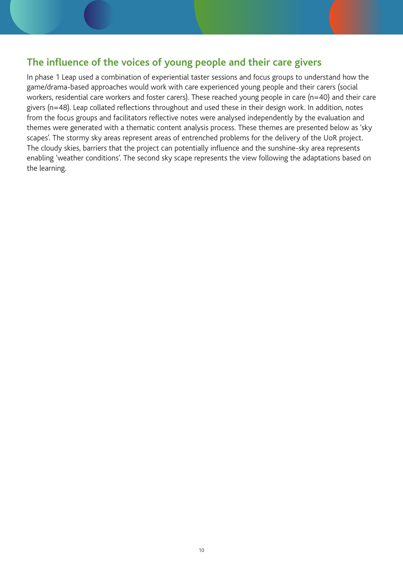## **The influence of the voices of young people and their care givers**

In phase 1 Leap used a combination of experiential taster sessions and focus groups to understand how the game/drama-based approaches would work with care experienced young people and their carers (social workers, residential care workers and foster carers). These reached young people in care (n=40) and their care givers (n=48). Leap collated reflections throughout and used these in their design work. In addition, notes from the focus groups and facilitators reflective notes were analysed independently by the evaluation and themes were generated with a thematic content analysis process. These themes are presented below as 'sky scapes'. The stormy sky areas represent areas of entrenched problems for the delivery of the UoR project. The cloudy skies, barriers that the project can potentially influence and the sunshine-sky area represents enabling 'weather conditions'. The second sky scape represents the view following the adaptations based on the learning.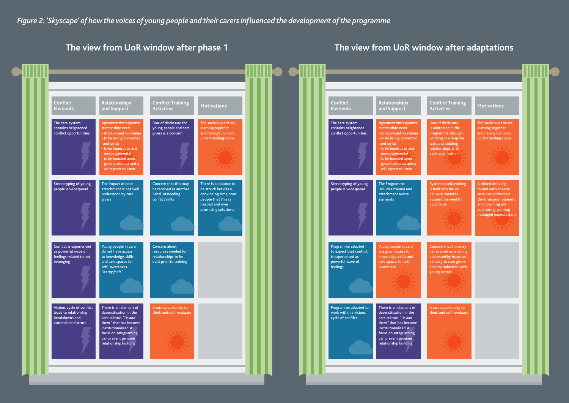

#### **The view from UoR window after phase 1 The view from UoR window after adaptations**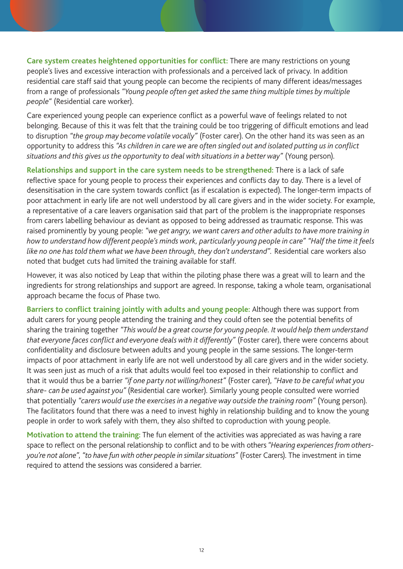**Care system creates heightened opportunities for conflict:** There are many restrictions on young people's lives and excessive interaction with professionals and a perceived lack of privacy. In addition residential care staff said that young people can become the recipients of many different ideas/messages from a range of professionals *"Young people often get asked the same thing multiple times by multiple people"* (Residential care worker).

Care experienced young people can experience conflict as a powerful wave of feelings related to not belonging. Because of this it was felt that the training could be too triggering of difficult emotions and lead to disruption *"the group may become volatile vocally"* (Foster carer). On the other hand its was seen as an opportunity to address this *"As children in care we are often singled out and isolated putting us in conflict situations and this gives us the opportunity to deal with situations in a better way"* (Young person).

**Relationships and support in the care system needs to be strengthened:** There is a lack of safe reflective space for young people to process their experiences and conflicts day to day. There is a level of desensitisation in the care system towards conflict (as if escalation is expected). The longer-term impacts of poor attachment in early life are not well understood by all care givers and in the wider society. For example, a representative of a care leavers organisation said that part of the problem is the inappropriate responses from carers labelling behaviour as deviant as opposed to being addressed as traumatic response. This was raised prominently by young people: *"we get angry, we want carers and other adults to have more training in how to understand how different people's minds work, particularly young people in care" "Half the time it feels like no one has told them what we have been through, they don't understand".* Residential care workers also noted that budget cuts had limited the training available for staff.

However, it was also noticed by Leap that within the piloting phase there was a great will to learn and the ingredients for strong relationships and support are agreed. In response, taking a whole team, organisational approach became the focus of Phase two.

**Barriers to conflict training jointly with adults and young people:** Although there was support from adult carers for young people attending the training and they could often see the potential benefits of sharing the training together *"This would be a great course for young people. It would help them understand that everyone faces conflict and everyone deals with it differently"* (Foster carer), there were concerns about confidentiality and disclosure between adults and young people in the same sessions. The longer-term impacts of poor attachment in early life are not well understood by all care givers and in the wider society. It was seen just as much of a risk that adults would feel too exposed in their relationship to conflict and that it would thus be a barrier *"if one party not willing/honest"* (Foster carer), *"Have to be careful what you share- can be used against you"* (Residential care worker). Similarly young people consulted were worried that potentially *"carers would use the exercises in a negative way outside the training room"* (Young person). The facilitators found that there was a need to invest highly in relationship building and to know the young people in order to work safely with them, they also shifted to coproduction with young people.

**Motivation to attend the training:** The fun element of the activities was appreciated as was having a rare space to reflect on the personal relationship to conflict and to be with others *"Hearing experiences from othersyou're not alone"*, *"to have fun with other people in similar situations"* (Foster Carers). The investment in time required to attend the sessions was considered a barrier.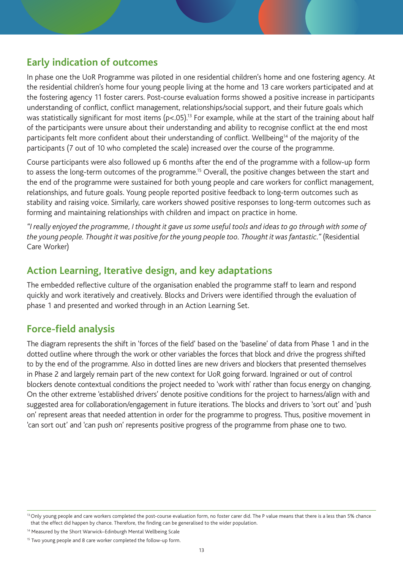## **Early indication of outcomes**

In phase one the UoR Programme was piloted in one residential children's home and one fostering agency. At the residential children's home four young people living at the home and 13 care workers participated and at the fostering agency 11 foster carers. Post-course evaluation forms showed a positive increase in participants understanding of conflict, conflict management, relationships/social support, and their future goals which was statistically significant for most items ( $p < .05$ ).<sup>13</sup> For example, while at the start of the training about half of the participants were unsure about their understanding and ability to recognise conflict at the end most participants felt more confident about their understanding of conflict. Wellbeing<sup>14</sup> of the majority of the participants (7 out of 10 who completed the scale) increased over the course of the programme.

Course participants were also followed up 6 months after the end of the programme with a follow-up form to assess the long-term outcomes of the programme.<sup>15</sup> Overall, the positive changes between the start and the end of the programme were sustained for both young people and care workers for conflict management, relationships, and future goals. Young people reported positive feedback to long-term outcomes such as stability and raising voice. Similarly, care workers showed positive responses to long-term outcomes such as forming and maintaining relationships with children and impact on practice in home.

*"I really enjoyed the programme, I thought it gave us some useful tools and ideas to go through with some of the young people. Thought it was positive for the young people too. Thought it was fantastic."* (Residential Care Worker)

## **Action Learning, Iterative design, and key adaptations**

The embedded reflective culture of the organisation enabled the programme staff to learn and respond quickly and work iteratively and creatively. Blocks and Drivers were identified through the evaluation of phase 1 and presented and worked through in an Action Learning Set.

## **Force-field analysis**

The diagram represents the shift in 'forces of the field' based on the 'baseline' of data from Phase 1 and in the dotted outline where through the work or other variables the forces that block and drive the progress shifted to by the end of the programme. Also in dotted lines are new drivers and blockers that presented themselves in Phase 2 and largely remain part of the new context for UoR going forward. Ingrained or out of control blockers denote contextual conditions the project needed to 'work with' rather than focus energy on changing. On the other extreme 'established drivers' denote positive conditions for the project to harness/align with and suggested area for collaboration/engagement in future iterations. The blocks and drivers to 'sort out' and 'push on' represent areas that needed attention in order for the programme to progress. Thus, positive movement in 'can sort out' and 'can push on' represents positive progress of the programme from phase one to two.

<sup>&</sup>lt;sup>13</sup> Only young people and care workers completed the post-course evaluation form, no foster carer did. The P value means that there is a less than 5% chance that the effect did happen by chance. Therefore, the finding can be generalised to the wider population.

<sup>&</sup>lt;sup>14</sup> Measured by the Short Warwick–Edinburgh Mental Wellbeing Scale

<sup>&</sup>lt;sup>15</sup> Two young people and 8 care worker completed the follow-up form.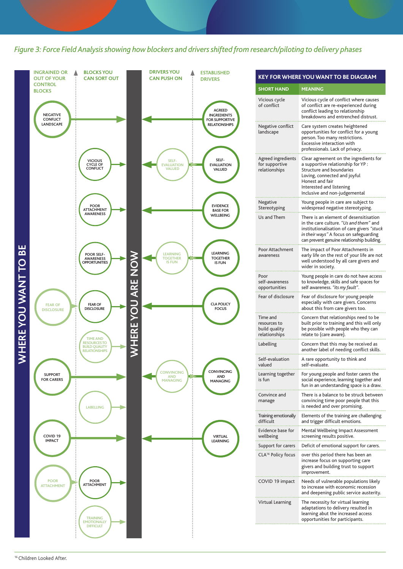*Figure 3: Force Field Analysis showing how blockers and drivers shifted from research/piloting to delivery phases* 



| <b>SHORT HAND</b>                                          | MEANING                                                                                                                                                                                                                        |
|------------------------------------------------------------|--------------------------------------------------------------------------------------------------------------------------------------------------------------------------------------------------------------------------------|
| Vicious cycle<br>of conflict                               | Vicious cycle of conflict where causes<br>of conflict are re-experienced during<br>conflict leading to relationship<br>breakdowns and entrenched distrust.                                                                     |
| Negative conflict<br>landscape                             | Care system creates heightened<br>opportunities for conflict for a young<br>person. Too many restrictions.<br>Excessive interaction with<br>professionals. Lack of privacy.                                                    |
| Agreed ingredients<br>for supportive<br>relationships      | Clear agreement on the ingredients for<br>a supportive relationship for YP:<br><b>Structure and boundaries</b><br>Loving, connected and joyful<br>Honest and fair<br>Interested and listening<br>Inclusive and non-judgemental |
| Negative<br>Stereotyping                                   | Young people in care are subject to<br>widespread negative stereotyping.                                                                                                                                                       |
| Us and Them                                                | There is an element of desensitisation<br>in the care culture. "Us and them" and<br>institutionalisation of care givers "stuck<br>in their ways" A focus on safeguarding<br>can prevent genuine relationship building.         |
| Poor Attachment<br>awareness                               | The impact of Poor Attachments in<br>early life on the rest of your life are not<br>well understood by all care givers and<br>wider in society.                                                                                |
| Poor<br>self-awareness<br>opportunities                    | Young people in care do not have access<br>to knowledge, skills and safe spaces for<br>self awareness. "its my fault".                                                                                                         |
| Fear of disclosure                                         | Fear of disclosure for young people<br>especially with care givers. Concerns<br>about this from care givers too.                                                                                                               |
| Time and<br>resources to<br>build quality<br>relationships | Concern that relationships need to be<br>built prior to training and this will only<br>be possible with people who they can<br>relate to (care aware).                                                                         |
| Labelling                                                  | Concern that this may be received as<br>another label of needing conflict skills.                                                                                                                                              |
| Self-evaluation<br>valued                                  | A rare opportunity to think and<br>self-evaluate.                                                                                                                                                                              |
| Learning together<br>is fun                                | For young people and foster carers the<br>social experience, learning together and<br>fun in an understanding space is a draw.                                                                                                 |
| Convince and<br>manage                                     | There is a balance to be struck between<br>convincing time poor people that this<br>is needed and over promising.                                                                                                              |
| Training emotionally<br>difficult                          | Elements of the training are challenging<br>and trigger difficult emotions.                                                                                                                                                    |
| Evidence base for<br>wellbeing                             | Mental Wellbeing Impact Assessment<br>screening results positive.                                                                                                                                                              |
| Support for carers                                         | Deficit of emotional support for carers.                                                                                                                                                                                       |
| CLA <sup>16</sup> Policy focus                             | over this period there has been an<br>increase focus on supporting care<br>givers and building trust to support<br>improvement.                                                                                                |
| COVID 19 impact                                            | Needs of vulnerable populations likely<br>to increase with economic recession<br>and deepening public service austerity.                                                                                                       |
| Virtual Learning                                           | The necessity for virtual learning<br>adaptations to delivery resulted in<br>learning abut the increased access<br>opportunities for participants.                                                                             |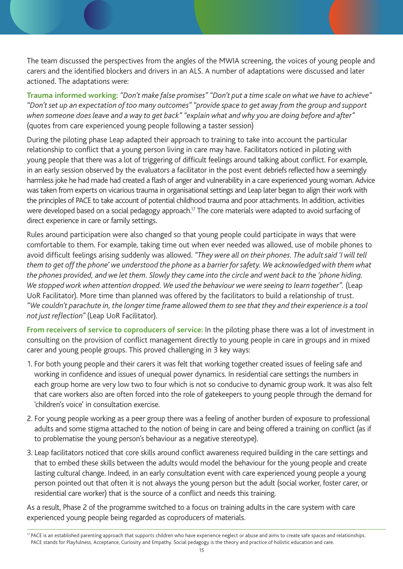The team discussed the perspectives from the angles of the MWIA screening, the voices of young people and carers and the identified blockers and drivers in an ALS. A number of adaptations were discussed and later actioned. The adaptations were:

**Trauma informed working:** *"Don't make false promises" "Don't put a time scale on what we have to achieve" "Don't set up an expectation of too many outcomes" "provide space to get away from the group and support when someone does leave and a way to get back" "explain what and why you are doing before and after"*  (quotes from care experienced young people following a taster session)

During the piloting phase Leap adapted their approach to training to take into account the particular relationship to conflict that a young person living in care may have. Facilitators noticed in piloting with young people that there was a lot of triggering of difficult feelings around talking about conflict. For example, in an early session observed by the evaluators a facilitator in the post event debriefs reflected how a seemingly harmless joke he had made had created a flash of anger and vulnerability in a care experienced young woman. Advice was taken from experts on vicarious trauma in organisational settings and Leap later began to align their work with the principles of PACE to take account of potential childhood trauma and poor attachments. In addition, activities were developed based on a social pedagogy approach.<sup>17</sup> The core materials were adapted to avoid surfacing of direct experience in care or family settings.

Rules around participation were also changed so that young people could participate in ways that were comfortable to them. For example, taking time out when ever needed was allowed, use of mobile phones to avoid difficult feelings arising suddenly was allowed. *"They were all on their phones. The adult said 'I will tell them to get off the phone' we understood the phone as a barrier for safety. We acknowledged with them what the phones provided, and we let them. Slowly they came into the circle and went back to the 'phone hiding.*  We stopped work when attention dropped. We used the behaviour we were seeing to learn together". (Leap UoR Facilitator). More time than planned was offered by the facilitators to build a relationship of trust. *"We couldn't parachute in, the longer time frame allowed them to see that they and their experience is a tool not just reflection"* (Leap UoR Facilitator).

**From receivers of service to coproducers of service:** In the piloting phase there was a lot of investment in consulting on the provision of conflict management directly to young people in care in groups and in mixed carer and young people groups. This proved challenging in 3 key ways:

- 1. For both young people and their carers it was felt that working together created issues of feeling safe and working in confidence and issues of unequal power dynamics. In residential care settings the numbers in each group home are very low two to four which is not so conducive to dynamic group work. It was also felt that care workers also are often forced into the role of gatekeepers to young people through the demand for 'children's voice' in consultation exercise.
- 2. For young people working as a peer group there was a feeling of another burden of exposure to professional adults and some stigma attached to the notion of being in care and being offered a training on conflict (as if to problematise the young person's behaviour as a negative stereotype).
- 3. Leap facilitators noticed that core skills around conflict awareness required building in the care settings and that to embed these skills between the adults would model the behaviour for the young people and create lasting cultural change. Indeed, in an early consultation event with care experienced young people a young person pointed out that often it is not always the young person but the adult (social worker, foster carer, or residential care worker) that is the source of a conflict and needs this training.

As a result, Phase 2 of the programme switched to a focus on training adults in the care system with care experienced young people being regarded as coproducers of materials.

<sup>&</sup>lt;sup>17</sup> PACE is an established parenting approach that supports children who have experience neglect or abuse and aims to create safe spaces and relationships. PACE stands for Playfulness, Acceptance, Curiosity and Empathy. Social pedagogy is the theory and practice of holistic education and care.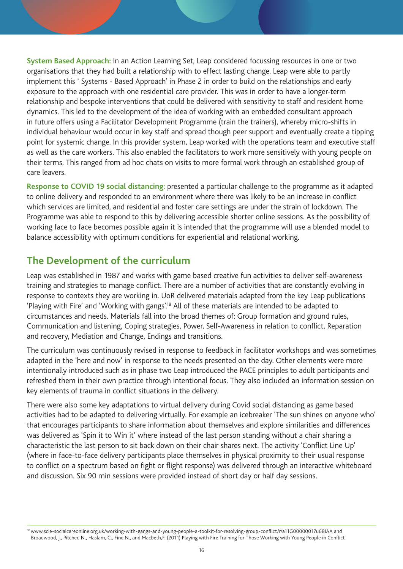**System Based Approach:** In an Action Learning Set, Leap considered focussing resources in one or two organisations that they had built a relationship with to effect lasting change. Leap were able to partly implement this ' Systems - Based Approach' in Phase 2 in order to build on the relationships and early exposure to the approach with one residential care provider. This was in order to have a longer-term relationship and bespoke interventions that could be delivered with sensitivity to staff and resident home dynamics. This led to the development of the idea of working with an embedded consultant approach in future offers using a Facilitator Development Programme (train the trainers), whereby micro-shifts in individual behaviour would occur in key staff and spread though peer support and eventually create a tipping point for systemic change. In this provider system, Leap worked with the operations team and executive staff as well as the care workers. This also enabled the facilitators to work more sensitively with young people on their terms. This ranged from ad hoc chats on visits to more formal work through an established group of care leavers.

**Response to COVID 19 social distancing:** presented a particular challenge to the programme as it adapted to online delivery and responded to an environment where there was likely to be an increase in conflict which services are limited, and residential and foster care settings are under the strain of lockdown. The Programme was able to respond to this by delivering accessible shorter online sessions. As the possibility of working face to face becomes possible again it is intended that the programme will use a blended model to balance accessibility with optimum conditions for experiential and relational working.

## **The Development of the curriculum**

Leap was established in 1987 and works with game based creative fun activities to deliver self-awareness training and strategies to manage conflict. There are a number of activities that are constantly evolving in response to contexts they are working in. UoR delivered materials adapted from the key Leap publications 'Playing with Fire' and 'Working with gangs'.18 All of these materials are intended to be adapted to circumstances and needs. Materials fall into the broad themes of: Group formation and ground rules, Communication and listening, Coping strategies, Power, Self-Awareness in relation to conflict, Reparation and recovery, Mediation and Change, Endings and transitions.

The curriculum was continuously revised in response to feedback in facilitator workshops and was sometimes adapted in the 'here and now' in response to the needs presented on the day. Other elements were more intentionally introduced such as in phase two Leap introduced the PACE principles to adult participants and refreshed them in their own practice through intentional focus. They also included an information session on key elements of trauma in conflict situations in the delivery.

There were also some key adaptations to virtual delivery during Covid social distancing as game based activities had to be adapted to delivering virtually. For example an icebreaker 'The sun shines on anyone who' that encourages participants to share information about themselves and explore similarities and differences was delivered as 'Spin it to Win it' where instead of the last person standing without a chair sharing a characteristic the last person to sit back down on their chair shares next. The activity 'Conflict Line Up' (where in face-to-face delivery participants place themselves in physical proximity to their usual response to conflict on a spectrum based on fight or flight response) was delivered through an interactive whiteboard and discussion. Six 90 min sessions were provided instead of short day or half day sessions.

<sup>18</sup> www.scie-socialcareonline.org.uk/working-with-gangs-and-young-people-a-toolkit-for-resolving-group-conflict/r/a11G00000017u68IAA and Broadwood, j., Pitcher, N., Haslam, C., Fine,N., and Macbeth,F. (2011) Playing with Fire Training for Those Working with Young People in Conflict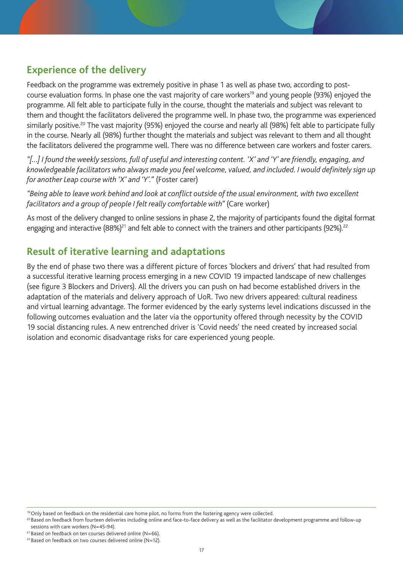## **Experience of the delivery**

Feedback on the programme was extremely positive in phase 1 as well as phase two, according to postcourse evaluation forms. In phase one the vast majority of care workers<sup>19</sup> and young people (93%) enjoyed the programme. All felt able to participate fully in the course, thought the materials and subject was relevant to them and thought the facilitators delivered the programme well. In phase two, the programme was experienced similarly positive.<sup>20</sup> The vast majority (95%) enjoyed the course and nearly all (98%) felt able to participate fully in the course. Nearly all (98%) further thought the materials and subject was relevant to them and all thought the facilitators delivered the programme well. There was no difference between care workers and foster carers.

*"[…] I found the weekly sessions, full of useful and interesting content. 'X' and 'Y' are friendly, engaging, and knowledgeable facilitators who always made you feel welcome, valued, and included. I would definitely sign up for another Leap course with 'X' and 'Y'."* (Foster carer)

*"Being able to leave work behind and look at conflict outside of the usual environment, with two excellent facilitators and a group of people I felt really comfortable with"* (Care worker)

As most of the delivery changed to online sessions in phase 2, the majority of participants found the digital format engaging and interactive (88%)<sup>21</sup> and felt able to connect with the trainers and other participants (92%).<sup>22</sup>

## **Result of iterative learning and adaptations**

By the end of phase two there was a different picture of forces 'blockers and drivers' that had resulted from a successful iterative learning process emerging in a new COVID 19 impacted landscape of new challenges (see figure 3 Blockers and Drivers). All the drivers you can push on had become established drivers in the adaptation of the materials and delivery approach of UoR. Two new drivers appeared: cultural readiness and virtual learning advantage. The former evidenced by the early systems level indications discussed in the following outcomes evaluation and the later via the opportunity offered through necessity by the COVID 19 social distancing rules. A new entrenched driver is 'Covid needs' the need created by increased social isolation and economic disadvantage risks for care experienced young people.

<sup>&</sup>lt;sup>19</sup> Only based on feedback on the residential care home pilot, no forms from the fostering agency were collected.

<sup>&</sup>lt;sup>20</sup> Based on feedback from fourteen deliveries including online and face-to-face delivery as well as the facilitator development programme and follow-up sessions with care workers (N=45-94).

 $21$  Based on feedback on ten courses delivered online (N=66).

 $22$  Based on feedback on two courses delivered online (N=12).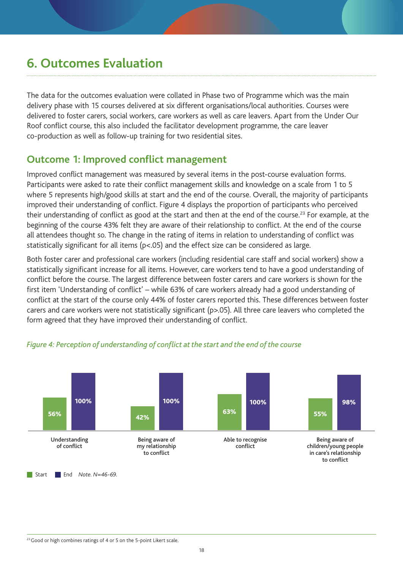# **6. Outcomes Evaluation**

The data for the outcomes evaluation were collated in Phase two of Programme which was the main delivery phase with 15 courses delivered at six different organisations/local authorities. Courses were delivered to foster carers, social workers, care workers as well as care leavers. Apart from the Under Our Roof conflict course, this also included the facilitator development programme, the care leaver co-production as well as follow-up training for two residential sites.

### **Outcome 1: Improved conflict management**

Improved conflict management was measured by several items in the post-course evaluation forms. Participants were asked to rate their conflict management skills and knowledge on a scale from 1 to 5 where 5 represents high/good skills at start and the end of the course. Overall, the majority of participants improved their understanding of conflict. Figure 4 displays the proportion of participants who perceived their understanding of conflict as good at the start and then at the end of the course.<sup>23</sup> For example, at the beginning of the course 43% felt they are aware of their relationship to conflict. At the end of the course all attendees thought so. The change in the rating of items in relation to understanding of conflict was statistically significant for all items (p<.05) and the effect size can be considered as large.

Both foster carer and professional care workers (including residential care staff and social workers) show a statistically significant increase for all items. However, care workers tend to have a good understanding of conflict before the course. The largest difference between foster carers and care workers is shown for the first item 'Understanding of conflict' – while 63% of care workers already had a good understanding of conflict at the start of the course only 44% of foster carers reported this. These differences between foster carers and care workers were not statistically significant (p>.05). All three care leavers who completed the form agreed that they have improved their understanding of conflict.



#### *Figure 4: Perception of understanding of conflict at the start and the end of the course*

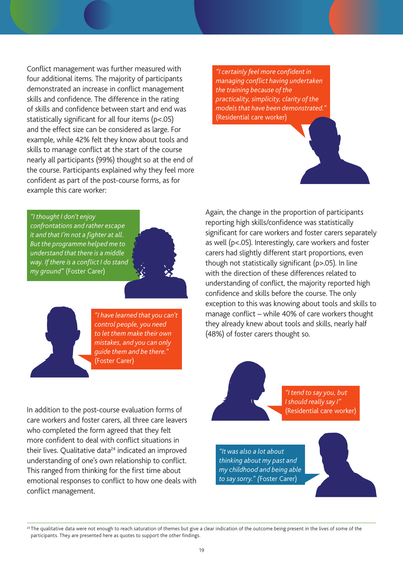Conflict management was further measured with four additional items. The majority of participants demonstrated an increase in conflict management skills and confidence. The difference in the rating of skills and confidence between start and end was statistically significant for all four items (p<.05) and the effect size can be considered as large. For example, while 42% felt they know about tools and skills to manage conflict at the start of the course nearly all participants (99%) thought so at the end of the course. Participants explained why they feel more confident as part of the post-course forms, as for example this care worker:

*"I certainly feel more confident in managing conflict having undertaken the training because of the practicality, simplicity, clarity of the models that have been demonstrated."*  (Residential care worker)

*"I thought I don't enjoy confrontations and rather escape it and that I'm not a fighter at all. But the programme helped me to understand that there is a middle way. If there is a conflict I do stand my ground"* (Foster Carer)





*"I have learned that you can't control people, you need to let them make their own mistakes, and you can only guide them and be there."* (Foster Carer)

Again, the change in the proportion of participants reporting high skills/confidence was statistically significant for care workers and foster carers separately as well (p<.05). Interestingly, care workers and foster carers had slightly different start proportions, even though not statistically significant (p>.05). In line with the direction of these differences related to understanding of conflict, the majority reported high confidence and skills before the course. The only exception to this was knowing about tools and skills to manage conflict – while 40% of care workers thought they already knew about tools and skills, nearly half (48%) of foster carers thought so.

In addition to the post-course evaluation forms of care workers and foster carers, all three care leavers who completed the form agreed that they felt more confident to deal with conflict situations in their lives. Qualitative data<sup>24</sup> indicated an improved understanding of one's own relationship to conflict. This ranged from thinking for the first time about emotional responses to conflict to how one deals with conflict management.

*"I tend to say you, but I should really say I"*  (Residential care worker)

*"It was also a lot about thinking about my past and my childhood and being able to say sorry." (*Foster Carer)

<sup>24</sup> The qualitative data were not enough to reach saturation of themes but give a clear indication of the outcome being present in the lives of some of the participants. They are presented here as quotes to support the other findings.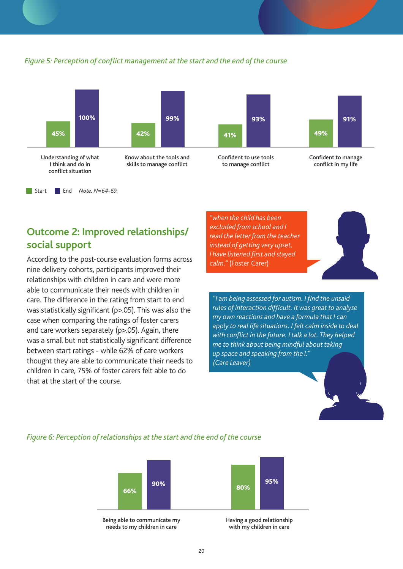

#### *Figure 5: Perception of conflict management at the start and the end of the course*



According to the post-course evaluation forms across nine delivery cohorts, participants improved their relationships with children in care and were more able to communicate their needs with children in care. The difference in the rating from start to end was statistically significant (p>.05). This was also the case when comparing the ratings of foster carers and care workers separately (p>.05). Again, there was a small but not statistically significant difference between start ratings - while 62% of care workers thought they are able to communicate their needs to children in care, 75% of foster carers felt able to do that at the start of the course.

*"when the child has been excluded from school and I read the letter from the teacher instead of getting very upset, I have listened first and stayed calm."* (Foster Carer)



*"I am being assessed for autism. I find the unsaid rules of interaction difficult. It was great to analyse my own reactions and have a formula that I can apply to real life situations. I felt calm inside to deal with conflict in the future. I talk a lot. They helped me to think about being mindful about taking up space and speaking from the I." (Care Leaver)*

### *Figure 6: Perception of relationships at the start and the end of the course*



needs to my children in care

with my children in care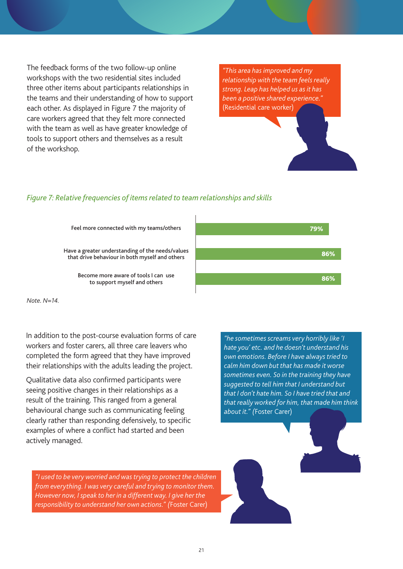The feedback forms of the two follow-up online workshops with the two residential sites included three other items about participants relationships in the teams and their understanding of how to support each other. As displayed in Figure 7 the majority of care workers agreed that they felt more connected with the team as well as have greater knowledge of tools to support others and themselves as a result of the workshop.

*"This area has improved and my relationship with the team feels really strong. Leap has helped us as it has been a positive shared experience."*  (Residential care worker)

#### *Figure 7: Relative frequencies of items related to team relationships and skills*

Feel more connected with my teams/others

Have a greater understanding of the needs/values that drive behaviour in both myself and others

> Become more aware of tools I can use to support myself and others



*Note. N=14.* 

In addition to the post-course evaluation forms of care workers and foster carers, all three care leavers who completed the form agreed that they have improved their relationships with the adults leading the project.

Qualitative data also confirmed participants were seeing positive changes in their relationships as a result of the training. This ranged from a general behavioural change such as communicating feeling clearly rather than responding defensively, to specific examples of where a conflict had started and been actively managed.

*"he sometimes screams very horribly like 'I hate you' etc. and he doesn't understand his own emotions. Before I have always tried to calm him down but that has made it worse sometimes even. So in the training they have suggested to tell him that I understand but that I don't hate him. So I have tried that and that really worked for him, that made him think about it." (*Foster Carer)

*"I used to be very worried and was trying to protect the children from everything. I was very careful and trying to monitor them. However now, I speak to her in a different way. I give her the responsibility to understand her own actions." (*Foster Carer)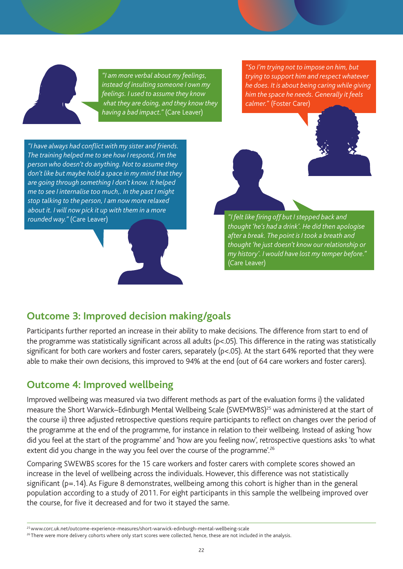

*"I am more verbal about my feelings, instead of insulting someone I own my feelings. I used to assume they know what they are doing, and they know they having a bad impact."* (Care Leaver)

*"So I'm trying not to impose on him, but trying to support him and respect whatever he does. It is about being caring while giving him the space he needs. Generally it feels calmer."* (Foster Carer)

*"I have always had conflict with my sister and friends. The training helped me to see how I respond, I'm the person who doesn't do anything. Not to assume they don't like but maybe hold a space in my mind that they are going through something I don't know. It helped me to see I internalise too much,. In the past I might stop talking to the person, I am now more relaxed about it. I will now pick it up with them in a more rounded way."* (Care Leaver) *"I felt like firing off but I stepped back and* 

*thought 'he's had a drink'. He did then apologise after a break. The point is I took a breath and thought 'he just doesn't know our relationship or my history'. I would have lost my temper before."*  (Care Leaver)

## **Outcome 3: Improved decision making/goals**

Participants further reported an increase in their ability to make decisions. The difference from start to end of the programme was statistically significant across all adults (p<.05). This difference in the rating was statistically significant for both care workers and foster carers, separately (p<.05). At the start 64% reported that they were able to make their own decisions, this improved to 94% at the end (out of 64 care workers and foster carers).

## **Outcome 4: Improved wellbeing**

Improved wellbeing was measured via two different methods as part of the evaluation forms i) the validated measure the Short Warwick–Edinburgh Mental Wellbeing Scale (SWEMWBS)<sup>25</sup> was administered at the start of the course ii) three adjusted retrospective questions require participants to reflect on changes over the period of the programme at the end of the programme, for instance in relation to their wellbeing. Instead of asking 'how did you feel at the start of the programme' and 'how are you feeling now', retrospective questions asks 'to what extent did you change in the way you feel over the course of the programme'.<sup>26</sup>

Comparing SWEWBS scores for the 15 care workers and foster carers with complete scores showed an increase in the level of wellbeing across the individuals. However, this difference was not statistically significant ( $p=14$ ). As Figure 8 demonstrates, wellbeing among this cohort is higher than in the general population according to a study of 2011. For eight participants in this sample the wellbeing improved over the course, for five it decreased and for two it stayed the same.

<sup>25</sup> www.corc.uk.net/outcome-experience-measures/short-warwick-edinburgh-mental-wellbeing-scale

<sup>&</sup>lt;sup>26</sup> There were more delivery cohorts where only start scores were collected, hence, these are not included in the analysis.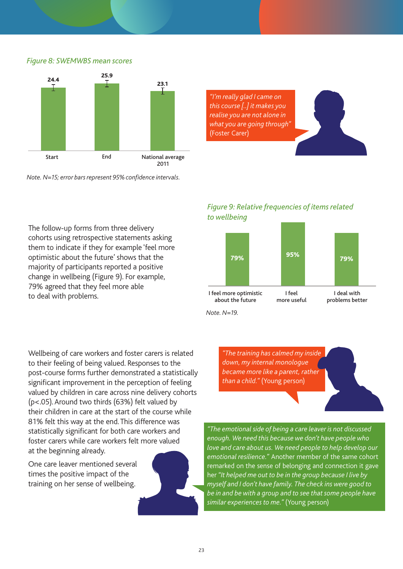#### *Figure 8: SWEMWBS mean scores*



*Note. N=15; error bars represent 95% confidence intervals.*

*"I'm really glad I came on this course [..] it makes you realise you are not alone in what you are going through"*  (Foster Carer)

The follow-up forms from three delivery cohorts using retrospective statements asking them to indicate if they for example 'feel more optimistic about the future' shows that the majority of participants reported a positive change in wellbeing (Figure 9). For example, 79% agreed that they feel more able to deal with problems.

#### *Figure 9: Relative frequencies of items related to wellbeing*



*Note. N=19.* 

Wellbeing of care workers and foster carers is related to their feeling of being valued. Responses to the post-course forms further demonstrated a statistically significant improvement in the perception of feeling valued by children in care across nine delivery cohorts (p<.05). Around two thirds (63%) felt valued by their children in care at the start of the course while 81% felt this way at the end. This difference was statistically significant for both care workers and foster carers while care workers felt more valued at the beginning already.

One care leaver mentioned several times the positive impact of the training on her sense of wellbeing.



*"The emotional side of being a care leaver is not discussed enough. We need this because we don't have people who love and care about us. We need people to help develop our emotional resilience."* Another member of the same cohort remarked on the sense of belonging and connection it gave her *"It helped me out to be in the group because I live by myself and I don't have family. The check ins were good to be in and be with a group and to see that some people have similar experiences to me."* (Young person)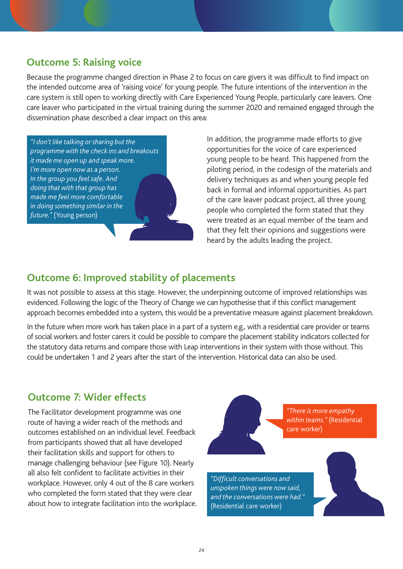## **Outcome 5: Raising voice**

Because the programme changed direction in Phase 2 to focus on care givers it was difficult to find impact on the intended outcome area of 'raising voice' for young people. The future intentions of the intervention in the care system is still open to working directly with Care Experienced Young People, particularly care leavers. One care leaver who participated in the virtual training during the summer 2020 and remained engaged through the dissemination phase described a clear impact on this area:

*"I don't like talking or sharing but the programme with the check ins and breakouts it made me open up and speak more. I'm more open now as a person. In the group you feel safe. And doing that with that group has made me feel more comfortable in doing something similar in the future."* (Young person)

In addition, the programme made efforts to give opportunities for the voice of care experienced young people to be heard. This happened from the piloting period, in the codesign of the materials and delivery techniques as and when young people fed back in formal and informal opportunities. As part of the care leaver podcast project, all three young people who completed the form stated that they were treated as an equal member of the team and that they felt their opinions and suggestions were heard by the adults leading the project.

## **Outcome 6: Improved stability of placements**

It was not possible to assess at this stage. However, the underpinning outcome of improved relationships was evidenced. Following the logic of the Theory of Change we can hypothesise that if this conflict management approach becomes embedded into a system, this would be a preventative measure against placement breakdown.

In the future when more work has taken place in a part of a system e.g., with a residential care provider or teams of social workers and foster carers it could be possible to compare the placement stability indicators collected for the statutory data returns and compare those with Leap interventions in their system with those without. This could be undertaken 1 and 2 years after the start of the intervention. Historical data can also be used.

### **Outcome 7: Wider effects**

The Facilitator development programme was one route of having a wider reach of the methods and outcomes established on an individual level. Feedback from participants showed that all have developed their facilitation skills and support for others to manage challenging behaviour (see Figure 10). Nearly all also felt confident to facilitate activities in their workplace. However, only 4 out of the 8 care workers who completed the form stated that they were clear about how to integrate facilitation into the workplace.

*"There is more empathy within teams."* (Residential care worker) *"Difficult conversations and unspoken things were now said, and the conversations were had."*  (Residential care worker)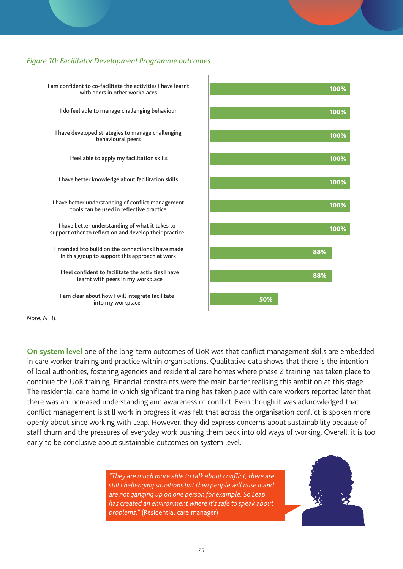#### *Figure 10: Facilitator Development Programme outcomes*



*Note. N=8.* 

**On system level** one of the long-term outcomes of UoR was that conflict management skills are embedded in care worker training and practice within organisations. Qualitative data shows that there is the intention of local authorities, fostering agencies and residential care homes where phase 2 training has taken place to continue the UoR training. Financial constraints were the main barrier realising this ambition at this stage. The residential care home in which significant training has taken place with care workers reported later that there was an increased understanding and awareness of conflict. Even though it was acknowledged that conflict management is still work in progress it was felt that across the organisation conflict is spoken more openly about since working with Leap. However, they did express concerns about sustainability because of staff churn and the pressures of everyday work pushing them back into old ways of working. Overall, it is too early to be conclusive about sustainable outcomes on system level.

> *"They are much more able to talk about conflict, there are still challenging situations but then people will raise it and are not ganging up on one person for example. So Leap has created an environment where it's safe to speak about problems."* (Residential care manager)

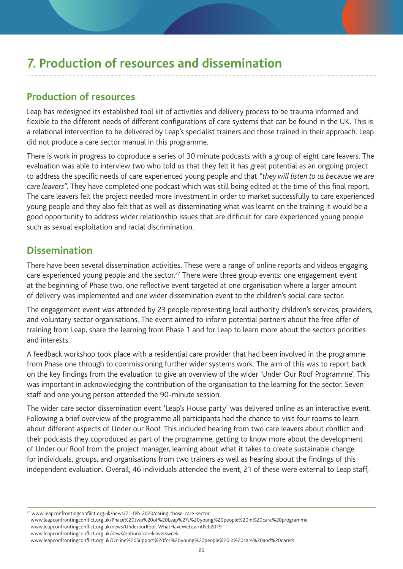# **7. Production of resources and dissemination**

## **Production of resources**

Leap has redesigned its established tool kit of activities and delivery process to be trauma informed and flexible to the different needs of different configurations of care systems that can be found in the UK. This is a relational intervention to be delivered by Leap's specialist trainers and those trained in their approach. Leap did not produce a care sector manual in this programme.

There is work in progress to coproduce a series of 30 minute podcasts with a group of eight care leavers. The evaluation was able to interview two who told us that they felt it has great potential as an ongoing project to address the specific needs of care experienced young people and that *"they will listen to us because we are care leavers"*. They have completed one podcast which was still being edited at the time of this final report. The care leavers felt the project needed more investment in order to market successfully to care experienced young people and they also felt that as well as disseminating what was learnt on the training it would be a good opportunity to address wider relationship issues that are difficult for care experienced young people such as sexual exploitation and racial discrimination.

## **Dissemination**

There have been several dissemination activities. These were a range of online reports and videos engaging care experienced young people and the sector.<sup>27</sup> There were three group events: one engagement event at the beginning of Phase two, one reflective event targeted at one organisation where a larger amount of delivery was implemented and one wider dissemination event to the children's social care sector.

The engagement event was attended by 23 people representing local authority children's services, providers, and voluntary sector organisations. The event aimed to inform potential partners about the free offer of training from Leap, share the learning from Phase 1 and for Leap to learn more about the sectors priorities and interests.

A feedback workshop took place with a residential care provider that had been involved in the programme from Phase one through to commissioning further wider systems work. The aim of this was to report back on the key findings from the evaluation to give an overview of the wider 'Under Our Roof Programme'. This was important in acknowledging the contribution of the organisation to the learning for the sector. Seven staff and one young person attended the 90-minute session.

The wider care sector dissemination event 'Leap's House party' was delivered online as an interactive event. Following a brief overview of the programme all participants had the chance to visit four rooms to learn about different aspects of Under our Roof. This included hearing from two care leavers about conflict and their podcasts they coproduced as part of the programme, getting to know more about the development of Under our Roof from the project manager, learning about what it takes to create sustainable change for individuals, groups, and organisations from two trainers as well as hearing about the findings of this independent evaluation. Overall, 46 individuals attended the event, 21 of these were external to Leap staff,

27 www.leapconfrontingconflict.org.uk/news/21-feb-2020/caring-those-care-sector

www.leapconfrontingconflict.org.uk/Phase%20two%20of%20Leap%27s%20young%20people%20in%20care%20programme

www.leapconfrontingconflict.org.uk/news/UnderourRoof\_WhatHaveWeLearntFeb2019

www.leapconfrontingconflict.org.uk/news/nationalcareleaversweek www.leapconfrontingconflict.org.uk/Online%20Support%20for%20young%20people%20in%20care%20and%20carers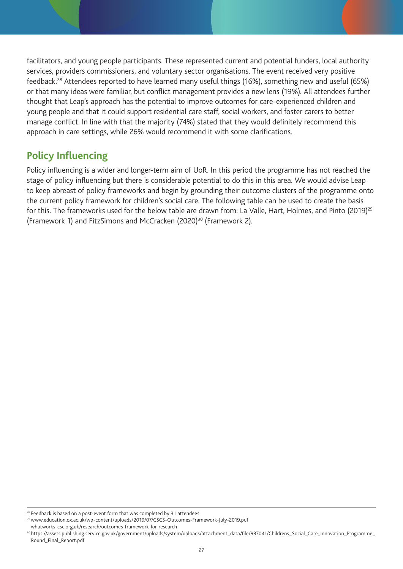facilitators, and young people participants. These represented current and potential funders, local authority services, providers commissioners, and voluntary sector organisations. The event received very positive feedback.28 Attendees reported to have learned many useful things (16%), something new and useful (65%) or that many ideas were familiar, but conflict management provides a new lens (19%). All attendees further thought that Leap's approach has the potential to improve outcomes for care-experienced children and young people and that it could support residential care staff, social workers, and foster carers to better manage conflict. In line with that the majority (74%) stated that they would definitely recommend this approach in care settings, while 26% would recommend it with some clarifications.

## **Policy Influencing**

Policy influencing is a wider and longer-term aim of UoR. In this period the programme has not reached the stage of policy influencing but there is considerable potential to do this in this area. We would advise Leap to keep abreast of policy frameworks and begin by grounding their outcome clusters of the programme onto the current policy framework for children's social care. The following table can be used to create the basis for this. The frameworks used for the below table are drawn from: La Valle, Hart, Holmes, and Pinto (2019)<sup>29</sup> (Framework 1) and FitzSimons and McCracken (2020)<sup>30</sup> (Framework 2).

<sup>&</sup>lt;sup>28</sup> Feedback is based on a post-event form that was completed by 31 attendees.

<sup>29</sup> www.education.ox.ac.uk/wp-content/uploads/2019/07/CSCS-Outcomes-Framework-July-2019.pdf

whatworks-csc.org.uk/research/outcomes-framework-for-research

<sup>30</sup> https://assets.publishing.service.gov.uk/government/uploads/system/uploads/attachment\_data/file/937041/Childrens\_Social\_Care\_Innovation\_Programme\_ Round\_Final\_Report.pdf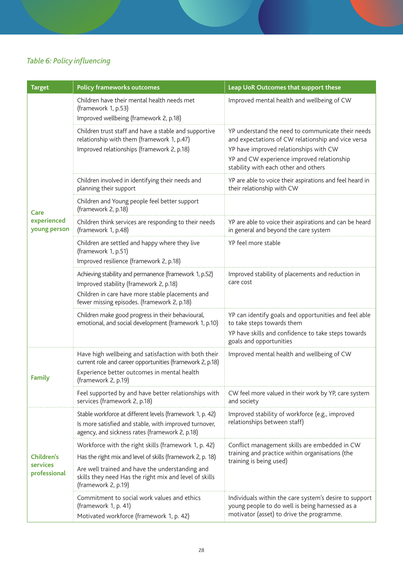## *Table 6: Policy influencing*

| <b>Target</b>                                 | <b>Policy frameworks outcomes</b>                                                                                                                                                                                                                      | Leap UoR Outcomes that support these                                                                                                                                                                                                    |
|-----------------------------------------------|--------------------------------------------------------------------------------------------------------------------------------------------------------------------------------------------------------------------------------------------------------|-----------------------------------------------------------------------------------------------------------------------------------------------------------------------------------------------------------------------------------------|
|                                               | Children have their mental health needs met<br>(framework 1, p.53)<br>Improved wellbeing (framework 2, p.18)                                                                                                                                           | Improved mental health and wellbeing of CW                                                                                                                                                                                              |
| Care<br>experienced<br>young person           | Children trust staff and have a stable and supportive<br>relationship with them (framework 1, p.47)<br>Improved relationships (framework 2, p.18)                                                                                                      | YP understand the need to communicate their needs<br>and expectations of CW relationship and vice versa<br>YP have improved relationships with CW<br>YP and CW experience improved relationship<br>stability with each other and others |
|                                               | Children involved in identifying their needs and<br>planning their support                                                                                                                                                                             | YP are able to voice their aspirations and feel heard in<br>their relationship with CW                                                                                                                                                  |
|                                               | Children and Young people feel better support<br>(framework 2, p.18)                                                                                                                                                                                   |                                                                                                                                                                                                                                         |
|                                               | Children think services are responding to their needs<br>(framework 1, p.48)                                                                                                                                                                           | YP are able to voice their aspirations and can be heard<br>in general and beyond the care system                                                                                                                                        |
|                                               | Children are settled and happy where they live<br>(framework 1, p.51)<br>Improved resilience (framework 2, p.18)                                                                                                                                       | YP feel more stable                                                                                                                                                                                                                     |
|                                               | Achieving stability and permanence (framework 1, p.52)<br>Improved stability (framework 2, p.18)<br>Children in care have more stable placements and<br>fewer missing episodes. (framework 2, p.18)                                                    | Improved stability of placements and reduction in<br>care cost                                                                                                                                                                          |
|                                               | Children make good progress in their behavioural,<br>emotional, and social development (framework 1, p.10)                                                                                                                                             | YP can identify goals and opportunities and feel able<br>to take steps towards them<br>YP have skills and confidence to take steps towards<br>goals and opportunities                                                                   |
| Family                                        | Have high wellbeing and satisfaction with both their<br>current role and career opportunities (framework 2, p.18)<br>Experience better outcomes in mental health<br>(framework 2, p.19)                                                                | Improved mental health and wellbeing of CW                                                                                                                                                                                              |
|                                               | Feel supported by and have better relationships with<br>services (framework 2, p.18)                                                                                                                                                                   | CW feel more valued in their work by YP, care system<br>and society                                                                                                                                                                     |
|                                               | Stable workforce at different levels (framework 1, p. 42)<br>Is more satisfied and stable, with improved turnover,<br>agency, and sickness rates (framework 2, p.18)                                                                                   | Improved stability of workforce (e.g., improved<br>relationships between staff)                                                                                                                                                         |
| <b>Children's</b><br>services<br>professional | Workforce with the right skills (framework 1, p. 42)<br>Has the right mix and level of skills (framework 2, p. 18)<br>Are well trained and have the understanding and<br>skills they need Has the right mix and level of skills<br>(framework 2, p.19) | Conflict management skills are embedded in CW<br>training and practice within organisations (the<br>training is being used)                                                                                                             |
|                                               | Commitment to social work values and ethics<br>(framework 1, p. 41)<br>Motivated workforce (framework 1, p. 42)                                                                                                                                        | Individuals within the care system's desire to support<br>young people to do well is being harnessed as a<br>motivator (asset) to drive the programme.                                                                                  |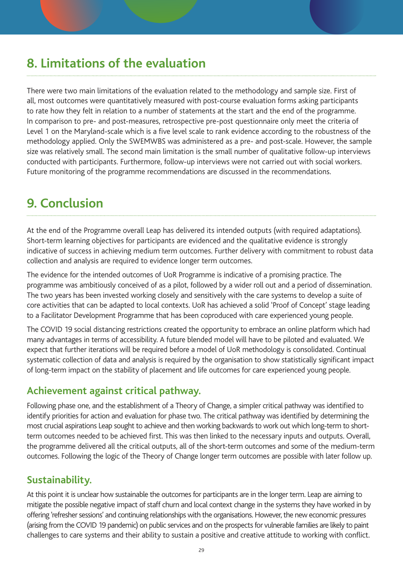# **8. Limitations of the evaluation**

There were two main limitations of the evaluation related to the methodology and sample size. First of all, most outcomes were quantitatively measured with post-course evaluation forms asking participants to rate how they felt in relation to a number of statements at the start and the end of the programme. In comparison to pre- and post-measures, retrospective pre-post questionnaire only meet the criteria of Level 1 on the Maryland-scale which is a five level scale to rank evidence according to the robustness of the methodology applied. Only the SWEMWBS was administered as a pre- and post-scale. However, the sample size was relatively small. The second main limitation is the small number of qualitative follow-up interviews conducted with participants. Furthermore, follow-up interviews were not carried out with social workers. Future monitoring of the programme recommendations are discussed in the recommendations.

# **9. Conclusion**

At the end of the Programme overall Leap has delivered its intended outputs (with required adaptations). Short-term learning objectives for participants are evidenced and the qualitative evidence is strongly indicative of success in achieving medium term outcomes. Further delivery with commitment to robust data collection and analysis are required to evidence longer term outcomes.

The evidence for the intended outcomes of UoR Programme is indicative of a promising practice. The programme was ambitiously conceived of as a pilot, followed by a wider roll out and a period of dissemination. The two years has been invested working closely and sensitively with the care systems to develop a suite of core activities that can be adapted to local contexts. UoR has achieved a solid 'Proof of Concept' stage leading to a Facilitator Development Programme that has been coproduced with care experienced young people.

The COVID 19 social distancing restrictions created the opportunity to embrace an online platform which had many advantages in terms of accessibility. A future blended model will have to be piloted and evaluated. We expect that further iterations will be required before a model of UoR methodology is consolidated. Continual systematic collection of data and analysis is required by the organisation to show statistically significant impact of long-term impact on the stability of placement and life outcomes for care experienced young people.

## **Achievement against critical pathway.**

Following phase one, and the establishment of a Theory of Change, a simpler critical pathway was identified to identify priorities for action and evaluation for phase two. The critical pathway was identified by determining the most crucial aspirations Leap sought to achieve and then working backwards to work out which long-term to shortterm outcomes needed to be achieved first. This was then linked to the necessary inputs and outputs. Overall, the programme delivered all the critical outputs, all of the short-term outcomes and some of the medium-term outcomes. Following the logic of the Theory of Change longer term outcomes are possible with later follow up.

### **Sustainability.**

At this point it is unclear how sustainable the outcomes for participants are in the longer term. Leap are aiming to mitigate the possible negative impact of staff churn and local context change in the systems they have worked in by offering 'refresher sessions' and continuing relationships with the organisations. However, the new economic pressures (arising from the COVID 19 pandemic) on public services and on the prospects for vulnerable families are likely to paint challenges to care systems and their ability to sustain a positive and creative attitude to working with conflict.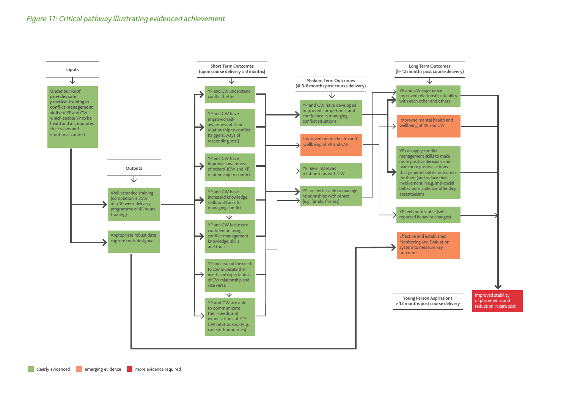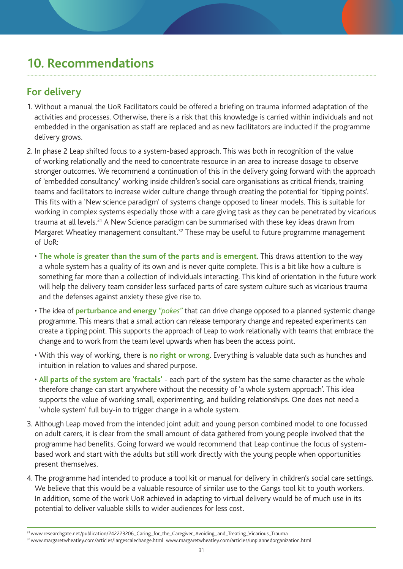# **10. Recommendations**

## **For delivery**

- 1. Without a manual the UoR Facilitators could be offered a briefing on trauma informed adaptation of the activities and processes. Otherwise, there is a risk that this knowledge is carried within individuals and not embedded in the organisation as staff are replaced and as new facilitators are inducted if the programme delivery grows.
- 2. In phase 2 Leap shifted focus to a system-based approach. This was both in recognition of the value of working relationally and the need to concentrate resource in an area to increase dosage to observe stronger outcomes. We recommend a continuation of this in the delivery going forward with the approach of 'embedded consultancy' working inside children's social care organisations as critical friends, training teams and facilitators to increase wider culture change through creating the potential for 'tipping points'. This fits with a 'New science paradigm' of systems change opposed to linear models. This is suitable for working in complex systems especially those with a care giving task as they can be penetrated by vicarious trauma at all levels.<sup>31</sup> A New Science paradigm can be summarised with these key ideas drawn from Margaret Wheatley management consultant.<sup>32</sup> These may be useful to future programme management of UoR:
	- **The whole is greater than the sum of the parts and is emergent**. This draws attention to the way a whole system has a quality of its own and is never quite complete. This is a bit like how a culture is something far more than a collection of individuals interacting. This kind of orientation in the future work will help the delivery team consider less surfaced parts of care system culture such as vicarious trauma and the defenses against anxiety these give rise to.
	- The idea of **perturbance and energy** *"pokes"* that can drive change opposed to a planned systemic change programme. This means that a small action can release temporary change and repeated experiments can create a tipping point. This supports the approach of Leap to work relationally with teams that embrace the change and to work from the team level upwards when has been the access point.
	- With this way of working, there is **no right or wrong**. Everything is valuable data such as hunches and intuition in relation to values and shared purpose.
	- **All parts of the system are 'fractals'** each part of the system has the same character as the whole therefore change can start anywhere without the necessity of 'a whole system approach'. This idea supports the value of working small, experimenting, and building relationships. One does not need a 'whole system' full buy-in to trigger change in a whole system.
- 3. Although Leap moved from the intended joint adult and young person combined model to one focussed on adult carers, it is clear from the small amount of data gathered from young people involved that the programme had benefits. Going forward we would recommend that Leap continue the focus of systembased work and start with the adults but still work directly with the young people when opportunities present themselves.
- 4. The programme had intended to produce a tool kit or manual for delivery in children's social care settings. We believe that this would be a valuable resource of similar use to the Gangs tool kit to youth workers. In addition, some of the work UoR achieved in adapting to virtual delivery would be of much use in its potential to deliver valuable skills to wider audiences for less cost.

<sup>32</sup> www.margaretwheatley.com/articles/largescalechange.html www.margaretwheatley.com/articles/unplannedorganization.html

<sup>31</sup> www.researchgate.net/publication/242223206\_Caring\_for\_the\_Caregiver\_Avoiding\_and\_Treating\_Vicarious\_Trauma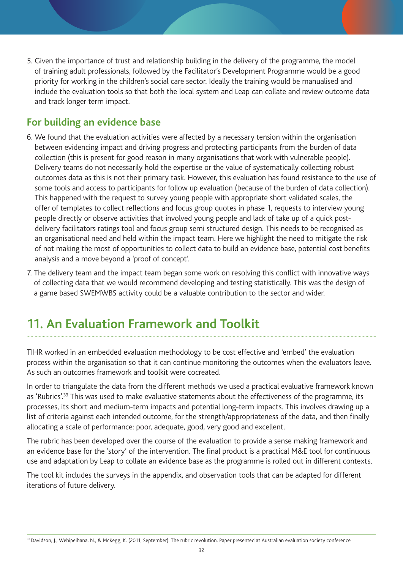5. Given the importance of trust and relationship building in the delivery of the programme, the model of training adult professionals, followed by the Facilitator's Development Programme would be a good priority for working in the children's social care sector. Ideally the training would be manualised and include the evaluation tools so that both the local system and Leap can collate and review outcome data and track longer term impact.

## **For building an evidence base**

- 6. We found that the evaluation activities were affected by a necessary tension within the organisation between evidencing impact and driving progress and protecting participants from the burden of data collection (this is present for good reason in many organisations that work with vulnerable people). Delivery teams do not necessarily hold the expertise or the value of systematically collecting robust outcomes data as this is not their primary task. However, this evaluation has found resistance to the use of some tools and access to participants for follow up evaluation (because of the burden of data collection). This happened with the request to survey young people with appropriate short validated scales, the offer of templates to collect reflections and focus group quotes in phase 1, requests to interview young people directly or observe activities that involved young people and lack of take up of a quick postdelivery facilitators ratings tool and focus group semi structured design. This needs to be recognised as an organisational need and held within the impact team. Here we highlight the need to mitigate the risk of not making the most of opportunities to collect data to build an evidence base, potential cost benefits analysis and a move beyond a 'proof of concept'.
- 7. The delivery team and the impact team began some work on resolving this conflict with innovative ways of collecting data that we would recommend developing and testing statistically. This was the design of a game based SWEMWBS activity could be a valuable contribution to the sector and wider.

# **11. An Evaluation Framework and Toolkit**

TIHR worked in an embedded evaluation methodology to be cost effective and 'embed' the evaluation process within the organisation so that it can continue monitoring the outcomes when the evaluators leave. As such an outcomes framework and toolkit were cocreated.

In order to triangulate the data from the different methods we used a practical evaluative framework known as 'Rubrics'.<sup>33</sup> This was used to make evaluative statements about the effectiveness of the programme, its processes, its short and medium-term impacts and potential long-term impacts. This involves drawing up a list of criteria against each intended outcome, for the strength/appropriateness of the data, and then finally allocating a scale of performance: poor, adequate, good, very good and excellent.

The rubric has been developed over the course of the evaluation to provide a sense making framework and an evidence base for the 'story' of the intervention. The final product is a practical M&E tool for continuous use and adaptation by Leap to collate an evidence base as the programme is rolled out in different contexts.

The tool kit includes the surveys in the appendix, and observation tools that can be adapted for different iterations of future delivery.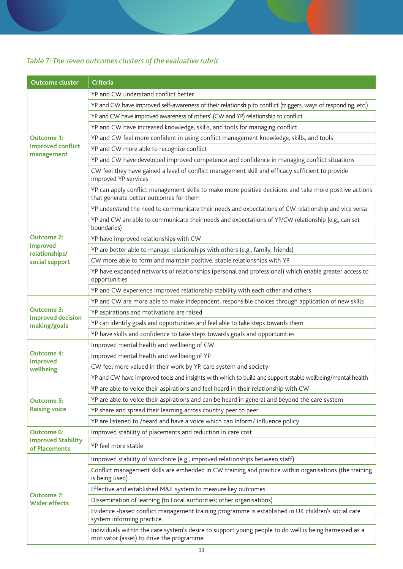## *Table 7: The seven outcomes clusters of the evaluative rubric*

| <b>Outcome cluster</b>                        | <b>Criteria</b>                                                                                                                                     |  |  |  |  |  |  |
|-----------------------------------------------|-----------------------------------------------------------------------------------------------------------------------------------------------------|--|--|--|--|--|--|
|                                               | YP and CW understand conflict better                                                                                                                |  |  |  |  |  |  |
|                                               | YP and CW have improved self-awareness of their relationship to conflict (triggers, ways of responding, etc.)                                       |  |  |  |  |  |  |
|                                               | YP and CW have improved awareness of others' (CW and YP) relationship to conflict                                                                   |  |  |  |  |  |  |
|                                               | YP and CW have increased knowledge, skills, and tools for managing conflict                                                                         |  |  |  |  |  |  |
| <b>Outcome 1:</b>                             | YP and CW feel more confident in using conflict management knowledge, skills, and tools                                                             |  |  |  |  |  |  |
| <b>Improved conflict</b><br>management        | YP and CW more able to recognize conflict                                                                                                           |  |  |  |  |  |  |
|                                               | YP and CW have developed improved competence and confidence in managing conflict situations                                                         |  |  |  |  |  |  |
|                                               | CW feel they have gained a level of conflict management skill and efficacy sufficient to provide<br>improved YP services                            |  |  |  |  |  |  |
|                                               | YP can apply conflict management skills to make more positive decisions and take more positive actions<br>that generate better outcomes for them    |  |  |  |  |  |  |
|                                               | YP understand the need to communicate their needs and expectations of CW relationship and vice versa                                                |  |  |  |  |  |  |
|                                               | YP and CW are able to communicate their needs and expectations of YP/CW relationship (e.g., can set<br>boundaries)                                  |  |  |  |  |  |  |
| <b>Outcome 2:</b>                             | YP have improved relationships with CW                                                                                                              |  |  |  |  |  |  |
| <b>Improved</b><br>relationships/             | YP are better able to manage relationships with others (e.g., family, friends)                                                                      |  |  |  |  |  |  |
| social support                                | CW more able to form and maintain positive, stable relationships with YP                                                                            |  |  |  |  |  |  |
|                                               | YP have expanded networks of relationships (personal and professional) which enable greater access to<br>opportunities                              |  |  |  |  |  |  |
|                                               | YP and CW experience improved relationship stability with each other and others                                                                     |  |  |  |  |  |  |
|                                               | YP and CW are more able to make independent, responsible choices through application of new skills                                                  |  |  |  |  |  |  |
| <b>Outcome 3:</b><br><b>Improved decision</b> | YP aspirations and motivations are raised                                                                                                           |  |  |  |  |  |  |
| making/goals                                  | YP can identify goals and opportunities and feel able to take steps towards them                                                                    |  |  |  |  |  |  |
|                                               | YP have skills and confidence to take steps towards goals and opportunities                                                                         |  |  |  |  |  |  |
|                                               | Improved mental health and wellbeing of CW                                                                                                          |  |  |  |  |  |  |
| <b>Outcome 4:</b><br><b>Improved</b>          | Improved mental health and wellbeing of YP                                                                                                          |  |  |  |  |  |  |
| wellbeing                                     | CW feel more valued in their work by YP, care system and society                                                                                    |  |  |  |  |  |  |
|                                               | YP and CW have improved tools and insights with which to build and support stable wellbeing/mental health                                           |  |  |  |  |  |  |
|                                               | YP are able to voice their aspirations and feel heard in their relationship with CW                                                                 |  |  |  |  |  |  |
| <b>Outcome 5:</b>                             | YP are able to voice their aspirations and can be heard in general and beyond the care system                                                       |  |  |  |  |  |  |
| <b>Raising voice</b>                          | YP share and spread their learning across country peer to peer                                                                                      |  |  |  |  |  |  |
|                                               | YP are listened to /heard and have a voice which can inform/ influence policy                                                                       |  |  |  |  |  |  |
| <b>Outcome 6:</b>                             | Improved stability of placements and reduction in care cost                                                                                         |  |  |  |  |  |  |
| <b>Improved Stability</b><br>of Placements    | YP feel more stable                                                                                                                                 |  |  |  |  |  |  |
|                                               | Improved stability of workforce (e.g., improved relationships between staff)                                                                        |  |  |  |  |  |  |
|                                               | Conflict management skills are embedded in CW training and practice within organisations (the training<br>is being used)                            |  |  |  |  |  |  |
| <b>Outcome 7:</b>                             | Effective and established M&E system to measure key outcomes                                                                                        |  |  |  |  |  |  |
| <b>Wider effects</b>                          | Dissemination of learning (to Local authorities; other organisations)                                                                               |  |  |  |  |  |  |
|                                               | Evidence -based conflict management training programme is established in UK children's social care<br>system informing practice.                    |  |  |  |  |  |  |
|                                               | Individuals within the care system's desire to support young people to do well is being harnessed as a<br>motivator (asset) to drive the programme. |  |  |  |  |  |  |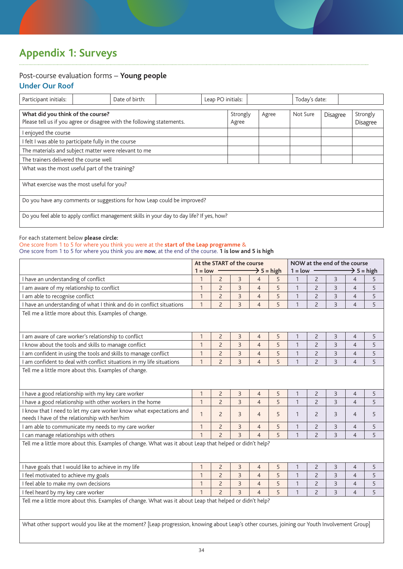# **Appendix 1: Surveys**

## Post-course evaluation forms – **Young people**

### **Under Our Roof**

| Participant initials:                                                                                       |                                            | Date of birth: |  | Leap PO initials: |       | Today's date: |          |                      |  |
|-------------------------------------------------------------------------------------------------------------|--------------------------------------------|----------------|--|-------------------|-------|---------------|----------|----------------------|--|
| What did you think of the course?<br>Please tell us if you agree or disagree with the following statements. |                                            |                |  | Strongly<br>Agree | Agree | Not Sure      | Disagree | Strongly<br>Disagree |  |
| I enjoyed the course                                                                                        |                                            |                |  |                   |       |               |          |                      |  |
| I felt I was able to participate fully in the course                                                        |                                            |                |  |                   |       |               |          |                      |  |
| The materials and subject matter were relevant to me                                                        |                                            |                |  |                   |       |               |          |                      |  |
| The trainers delivered the course well                                                                      |                                            |                |  |                   |       |               |          |                      |  |
| What was the most useful part of the training?                                                              |                                            |                |  |                   |       |               |          |                      |  |
|                                                                                                             | What exercise was the most useful for you? |                |  |                   |       |               |          |                      |  |
| Do you have any comments or suggestions for how Leap could be improved?                                     |                                            |                |  |                   |       |               |          |                      |  |
| Do you feel able to apply conflict management skills in your day to day life? If yes, how?                  |                                            |                |  |                   |       |               |          |                      |  |

#### For each statement below **please circle:**

#### One score from 1 to 5 for where you think you were at the **start of the Leap programme** &

One score from 1 to 5 for where you think you are **now**, at the end of the course. **1 is low and 5 is high**

|                                                                                                                                                                                                                                                          | At the START of the course<br>$\rightarrow$ 5 = high<br>$1 = low$<br>$1 = low$ |                |                |                |   |              | NOW at the end of the course<br>$\rightarrow$ 5 = high |                |                |   |
|----------------------------------------------------------------------------------------------------------------------------------------------------------------------------------------------------------------------------------------------------------|--------------------------------------------------------------------------------|----------------|----------------|----------------|---|--------------|--------------------------------------------------------|----------------|----------------|---|
| I have an understanding of conflict                                                                                                                                                                                                                      | 1                                                                              | $\overline{2}$ | 3              | $\overline{4}$ | 5 | 1            | $\overline{2}$                                         | 3              | $\overline{4}$ | 5 |
| I am aware of my relationship to conflict                                                                                                                                                                                                                | $\mathbf{1}$                                                                   | $\overline{c}$ | $\overline{3}$ | $\overline{4}$ | 5 | $\mathbf{1}$ | $\overline{c}$                                         | 3              | $\overline{4}$ | 5 |
| I am able to recognise conflict                                                                                                                                                                                                                          | 1                                                                              | $\overline{2}$ | 3              | $\overline{4}$ | 5 | $\mathbf{1}$ | $\overline{2}$                                         | 3              | $\overline{4}$ | 5 |
| I have an understanding of what I think and do in conflict situations                                                                                                                                                                                    | $\mathbf{1}$                                                                   | $\overline{2}$ | $\overline{3}$ | $\overline{4}$ | 5 | $\mathbf{1}$ | $\overline{c}$                                         | $\overline{3}$ | $\overline{4}$ | 5 |
| Tell me a little more about this. Examples of change.                                                                                                                                                                                                    |                                                                                |                |                |                |   |              |                                                        |                |                |   |
| I am aware of care worker's relationship to conflict                                                                                                                                                                                                     | 1                                                                              | $\overline{c}$ | $\overline{3}$ | $\overline{4}$ | 5 | 1            | $\overline{c}$                                         | $\overline{3}$ | $\overline{4}$ | 5 |
| I know about the tools and skills to manage conflict                                                                                                                                                                                                     | 1                                                                              | $\overline{2}$ | 3              | $\overline{4}$ | 5 | $\mathbf{1}$ | $\overline{c}$                                         | 3              | $\overline{4}$ | 5 |
| I am confident in using the tools and skills to manage conflict                                                                                                                                                                                          | $\mathbf{1}$                                                                   | $\overline{c}$ | $\overline{3}$ | $\overline{4}$ | 5 | $\mathbf{1}$ | $\overline{c}$                                         | 3              | $\overline{4}$ | 5 |
| I am confident to deal with conflict situations in my life situations                                                                                                                                                                                    | $\mathbf{1}$                                                                   | $\overline{2}$ | $\overline{3}$ | $\overline{4}$ | 5 | $\mathbf{1}$ | $\overline{2}$                                         | $\overline{3}$ | $\overline{4}$ | 5 |
| Tell me a little more about this. Examples of change.                                                                                                                                                                                                    |                                                                                |                |                |                |   |              |                                                        |                |                |   |
| I have a good relationship with my key care worker                                                                                                                                                                                                       | $\mathbf{1}$                                                                   | $\overline{c}$ | 3              | $\overline{4}$ | 5 | 1            | $\overline{c}$                                         | 3              | $\overline{4}$ | 5 |
| I have a good relationship with other workers in the home                                                                                                                                                                                                | $\mathbf{1}$                                                                   | $\overline{2}$ | $\overline{3}$ | $\overline{4}$ | 5 | $\mathbf{1}$ | $\overline{2}$                                         | 3              | $\overline{4}$ | 5 |
| I know that I need to let my care worker know what expectations and<br>needs I have of the relationship with her/him                                                                                                                                     | $\mathbf{1}$                                                                   | $\overline{2}$ | 3              | $\overline{4}$ | 5 | 1            | $\overline{2}$                                         | 3              | $\overline{4}$ | 5 |
| I am able to communicate my needs to my care worker                                                                                                                                                                                                      | $\mathbf{1}$                                                                   | $\overline{2}$ | 3              | $\overline{4}$ | 5 | $\mathbf{1}$ | $\overline{c}$                                         | $\overline{3}$ | $\overline{4}$ | 5 |
| I can manage relationships with others                                                                                                                                                                                                                   | 1                                                                              | $\overline{c}$ | $\overline{3}$ | $\overline{4}$ | 5 | 1            | $\overline{c}$                                         | 3              | $\overline{4}$ | 5 |
| Tell me a little more about this. Examples of change. What was it about Leap that helped or didn't help?                                                                                                                                                 |                                                                                |                |                |                |   |              |                                                        |                |                |   |
| I have goals that I would like to achieve in my life                                                                                                                                                                                                     | $\mathbf{1}$                                                                   | $\overline{2}$ | 3              | $\overline{4}$ | 5 | 1            | $\overline{2}$                                         | 3              | $\overline{4}$ | 5 |
| I feel motivated to achieve my goals                                                                                                                                                                                                                     | $\mathbf{1}$                                                                   | $\overline{2}$ | 3              | $\overline{4}$ | 5 | $\mathbf{1}$ | $\overline{2}$                                         | 3              | $\overline{4}$ | 5 |
| I feel able to make my own decisions                                                                                                                                                                                                                     | $\mathbf{1}$                                                                   | $\overline{c}$ | $\overline{3}$ | $\overline{4}$ | 5 | $\mathbf{1}$ | $\overline{c}$                                         | $\overline{3}$ | $\overline{4}$ | 5 |
| I feel heard by my key care worker                                                                                                                                                                                                                       | $\mathbf{1}$                                                                   | $\overline{c}$ | $\overline{3}$ | $\overline{4}$ | 5 | $\mathbf{1}$ | $\overline{c}$                                         | $\overline{3}$ | $\overline{4}$ | 5 |
| Tell me a little more about this. Examples of change. What was it about Leap that helped or didn't help?<br>What other support would you like at the moment? [Leap progression, knowing about Leap's other courses, joining our Youth Involvement Group] |                                                                                |                |                |                |   |              |                                                        |                |                |   |
|                                                                                                                                                                                                                                                          |                                                                                |                |                |                |   |              |                                                        |                |                |   |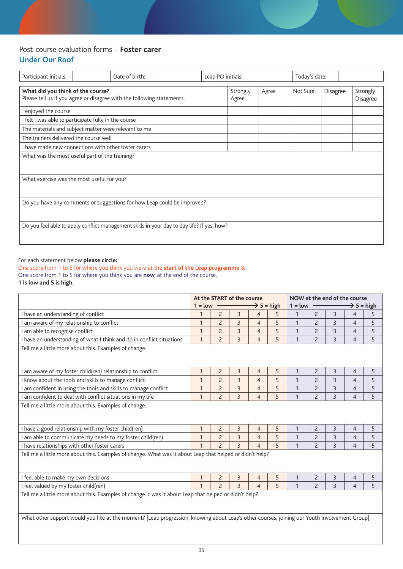### Post-course evaluation forms – **Foster carer Under Our Roof**

| Participant initials:                                                                                       |  | Date of birth: |  | Leap PO initials: |       |          | Today's date: |                             |  |
|-------------------------------------------------------------------------------------------------------------|--|----------------|--|-------------------|-------|----------|---------------|-----------------------------|--|
| What did you think of the course?<br>Please tell us if you agree or disagree with the following statements. |  |                |  | Strongly<br>Agree | Agree | Not Sure | Disagree      | Strongly<br><b>Disagree</b> |  |
| enjoyed the course                                                                                          |  |                |  |                   |       |          |               |                             |  |
| I felt I was able to participate fully in the course                                                        |  |                |  |                   |       |          |               |                             |  |
| The materials and subject matter were relevant to me                                                        |  |                |  |                   |       |          |               |                             |  |
| The trainers delivered the course well                                                                      |  |                |  |                   |       |          |               |                             |  |
| I have made new connections with other foster carers                                                        |  |                |  |                   |       |          |               |                             |  |
| What was the most useful part of the training?                                                              |  |                |  |                   |       |          |               |                             |  |
|                                                                                                             |  |                |  |                   |       |          |               |                             |  |
| What exercise was the most useful for you?                                                                  |  |                |  |                   |       |          |               |                             |  |
|                                                                                                             |  |                |  |                   |       |          |               |                             |  |
| Do you have any comments or suggestions for how Leap could be improved?                                     |  |                |  |                   |       |          |               |                             |  |
|                                                                                                             |  |                |  |                   |       |          |               |                             |  |
| Do you feel able to apply conflict management skills in your day to day life? If yes, how?                  |  |                |  |                   |       |          |               |                             |  |
|                                                                                                             |  |                |  |                   |       |          |               |                             |  |

#### For each statement below **please circle:**

One score from 1 to 5 for where you think you were at the **start of the Leap programme** & One score from 1 to 5 for where you think you are **now**, at the end of the course. **1 is low and 5 is high.**

|                                                                                                                                              | At the START of the course<br>$\rightarrow$ 5 = high<br>$1 = low$ |                          |                |                          |   | $1 = low$      |                |                | NOW at the end of the course | $\rightarrow$ 5 = high |
|----------------------------------------------------------------------------------------------------------------------------------------------|-------------------------------------------------------------------|--------------------------|----------------|--------------------------|---|----------------|----------------|----------------|------------------------------|------------------------|
| I have an understanding of conflict                                                                                                          | $\mathbf{1}$                                                      | $\overline{c}$           | $\overline{3}$ | $\overline{4}$           | 5 | $\mathbf{1}$   | $\overline{2}$ | 3              | $\overline{4}$               | 5                      |
| I am aware of my relationship to conflict                                                                                                    | $\mathbf{1}$                                                      | $\overline{c}$           | $\overline{3}$ | $\overline{4}$           | 5 | $\mathbf{1}$   | $\overline{2}$ | $\overline{3}$ | $\overline{4}$               | 5                      |
| I am able to recognise conflict                                                                                                              | 1                                                                 | $\overline{c}$           | $\overline{3}$ | $\overline{4}$           | 5 |                | $\overline{c}$ | 3              | $\overline{4}$               | 5                      |
| I have an understanding of what I think and do in conflict situations                                                                        | $\overline{1}$                                                    | $\overline{c}$           | $\overline{3}$ | $\overline{4}$           | 5 | $\overline{1}$ | $\overline{c}$ | 3              | $\overline{4}$               | 5                      |
| Tell me a little more about this. Examples of change.                                                                                        |                                                                   |                          |                |                          |   |                |                |                |                              |                        |
| I am aware of my foster child(ren) relationship to conflict                                                                                  | 1                                                                 | $\overline{c}$           | 3              | $\overline{4}$           | 5 |                | $\overline{c}$ | 3              | 4                            | 5                      |
| I know about the tools and skills to manage conflict                                                                                         | $\mathbf{1}$                                                      | $\overline{c}$           | $\overline{3}$ | $\overline{4}$           | 5 | $\mathbf{1}$   | $\overline{c}$ | $\overline{3}$ | $\overline{4}$               | 5                      |
| I am confident in using the tools and skills to manage conflict                                                                              | 1                                                                 | $\overline{2}$           | $\overline{3}$ | $\overline{4}$           | 5 | 1              | $\overline{2}$ | 3              | $\overline{4}$               | 5                      |
| I am confident to deal with conflict situations in my life                                                                                   | 1                                                                 | $\overline{c}$           | $\overline{3}$ | $\overline{4}$           | 5 |                | $\overline{c}$ | $\overline{3}$ | $\overline{4}$               | 5                      |
| Tell me a little more about this. Examples of change.                                                                                        |                                                                   |                          |                |                          |   |                |                |                |                              |                        |
| I have a good relationship with my foster child(ren)                                                                                         |                                                                   | $\overline{c}$           | 3              | $\overline{4}$           | 5 |                | 2              | 3              | 4                            | 5                      |
| I am able to communicate my needs to my foster child(ren)                                                                                    | $\mathbf{1}$                                                      | $\overline{c}$           | $\overline{3}$ | $\overline{4}$           | 5 | $\mathbf{1}$   | $\overline{c}$ | $\overline{3}$ | $\overline{4}$               | 5                      |
| I have relationships with other foster carers                                                                                                | 1                                                                 | $\overline{c}$           | $\overline{3}$ | $\overline{4}$           | 5 | $\mathbf{1}$   | $\overline{2}$ | $\overline{3}$ | $\overline{4}$               | 5                      |
| Tell me a little more about this. Examples of change. What was it about Leap that helped or didn't help?                                     |                                                                   |                          |                |                          |   |                |                |                |                              |                        |
| I feel able to make my own decisions                                                                                                         | 1                                                                 | $\overline{2}$           | 3              | $\overline{4}$           | 5 |                | $\overline{c}$ | 3              | $\overline{4}$               | 5                      |
| I feel valued by my foster child(ren)                                                                                                        | $\mathbf{1}$                                                      | $\overline{\phantom{0}}$ | $\overline{3}$ | $\overline{\mathcal{L}}$ | 5 | 1              | $\overline{c}$ | $\overline{3}$ | $\overline{4}$               | 5                      |
| Tell me a little more about this. Examples of change. c was it about Leap that helped or didn't help?                                        |                                                                   |                          |                |                          |   |                |                |                |                              |                        |
| What other support would you like at the moment? [Leap progression, knowing about Leap's other courses, joining our Youth Involvement Group] |                                                                   |                          |                |                          |   |                |                |                |                              |                        |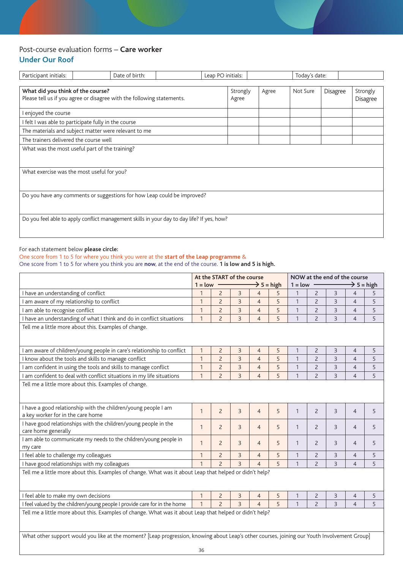### Post-course evaluation forms – **Care worker Under Our Roof**

| Participant initials:                                                                      | Date of birth: | Leap PO initials: |          |       | Today's date: |          |                 |
|--------------------------------------------------------------------------------------------|----------------|-------------------|----------|-------|---------------|----------|-----------------|
|                                                                                            |                |                   |          |       |               |          |                 |
| What did you think of the course?                                                          |                |                   | Strongly | Agree | Not Sure      | Disagree | Strongly        |
| Please tell us if you agree or disagree with the following statements.                     |                |                   | Agree    |       |               |          | <b>Disagree</b> |
| I enjoyed the course                                                                       |                |                   |          |       |               |          |                 |
| I felt I was able to participate fully in the course                                       |                |                   |          |       |               |          |                 |
| The materials and subject matter were relevant to me                                       |                |                   |          |       |               |          |                 |
| The trainers delivered the course well                                                     |                |                   |          |       |               |          |                 |
| What was the most useful part of the training?                                             |                |                   |          |       |               |          |                 |
|                                                                                            |                |                   |          |       |               |          |                 |
| What exercise was the most useful for you?                                                 |                |                   |          |       |               |          |                 |
|                                                                                            |                |                   |          |       |               |          |                 |
| Do you have any comments or suggestions for how Leap could be improved?                    |                |                   |          |       |               |          |                 |
|                                                                                            |                |                   |          |       |               |          |                 |
|                                                                                            |                |                   |          |       |               |          |                 |
|                                                                                            |                |                   |          |       |               |          |                 |
|                                                                                            |                |                   |          |       |               |          |                 |
| Do you feel able to apply conflict management skills in your day to day life? If yes, how? |                |                   |          |       |               |          |                 |

#### For each statement below **please circle:**

#### One score from 1 to 5 for where you think you were at the **start of the Leap programme** &

One score from 1 to 5 for where you think you are **now**, at the end of the course. **1 is low and 5 is high.**

|                                                                                                                                              | At the START of the course<br>$\rightarrow$ 5 = high<br>$1 = low$ |                          |                |                |   | $1 = low$    |                |                | NOW at the end of the course<br>$\rightarrow$ 5 = high |   |
|----------------------------------------------------------------------------------------------------------------------------------------------|-------------------------------------------------------------------|--------------------------|----------------|----------------|---|--------------|----------------|----------------|--------------------------------------------------------|---|
| I have an understanding of conflict                                                                                                          | 1                                                                 | $\overline{c}$           | 3              | $\overline{4}$ | 5 | 1            | $\overline{c}$ | 3              | $\overline{4}$                                         | 5 |
| I am aware of my relationship to conflict                                                                                                    | 1                                                                 | $\overline{c}$           | $\overline{3}$ | $\overline{4}$ | 5 | $\mathbf{1}$ | $\overline{c}$ | 3              | $\overline{4}$                                         | 5 |
| I am able to recognise conflict                                                                                                              | 1                                                                 | $\overline{2}$           | $\overline{3}$ | $\overline{4}$ | 5 | $\mathbf{1}$ | $\overline{2}$ | 3              | $\overline{4}$                                         | 5 |
| I have an understanding of what I think and do in conflict situations                                                                        | $\mathbf{1}$                                                      | $\overline{c}$           | $\overline{3}$ | $\overline{4}$ | 5 | $\mathbf{1}$ | $\overline{2}$ | $\overline{3}$ | $\overline{4}$                                         | 5 |
| Tell me a little more about this. Examples of change.                                                                                        |                                                                   |                          |                |                |   |              |                |                |                                                        |   |
|                                                                                                                                              |                                                                   |                          |                |                |   |              |                |                |                                                        |   |
| I am aware of children/young people in care's relationship to conflict                                                                       | $\mathbf{1}$                                                      | $\overline{c}$           | $\overline{3}$ | $\overline{4}$ | 5 | 1            | $\overline{2}$ | 3              | $\overline{4}$                                         | 5 |
| I know about the tools and skills to manage conflict                                                                                         | 1                                                                 | $\overline{c}$           | $\overline{3}$ | $\overline{4}$ | 5 | 1            | $\overline{c}$ | 3              | $\overline{4}$                                         | 5 |
| I am confident in using the tools and skills to manage conflict                                                                              | $\mathbf{1}$                                                      | $\overline{c}$           | $\mathsf 3$    | $\overline{4}$ | 5 | $\mathbf{1}$ | $\overline{c}$ | 3              | 4                                                      | 5 |
| I am confident to deal with conflict situations in my life situations                                                                        | $\mathbf{1}$                                                      | $\overline{2}$           | $\overline{3}$ | $\overline{4}$ | 5 | $\mathbf{1}$ | $\overline{2}$ | $\overline{3}$ | $\overline{4}$                                         | 5 |
| Tell me a little more about this. Examples of change.                                                                                        |                                                                   |                          |                |                |   |              |                |                |                                                        |   |
| I have a good relationship with the children/young people I am<br>a key worker for in the care home                                          | $\mathbf{1}$                                                      | $\overline{2}$           | 3              | $\overline{4}$ | 5 | $\mathbf{1}$ | $\overline{c}$ | 3              | $\overline{4}$                                         | 5 |
| I have good relationships with the children/young people in the<br>care home generally                                                       | 1                                                                 | $\overline{2}$           | 3              | $\overline{4}$ | 5 | $\mathbf{1}$ | $\overline{c}$ | 3              | $\overline{4}$                                         | 5 |
| I am able to communicate my needs to the children/young people in<br>my care                                                                 | $\mathbf{1}$                                                      | $\overline{2}$           | 3              | $\overline{4}$ | 5 | $\mathbf{1}$ | $\overline{2}$ | 3              | $\overline{4}$                                         | 5 |
| I feel able to challenge my colleagues                                                                                                       | 1                                                                 | $\overline{c}$           | 3              | $\overline{4}$ | 5 | $\mathbf{1}$ | $\overline{2}$ | 3              | $\overline{4}$                                         | 5 |
| I have good relationships with my colleagues                                                                                                 | 1                                                                 | $\overline{c}$           | $\overline{3}$ | $\overline{4}$ | 5 | $\mathbf{1}$ | $\overline{c}$ | $\overline{3}$ | $\overline{4}$                                         | 5 |
| Tell me a little more about this. Examples of change. What was it about Leap that helped or didn't help?                                     |                                                                   |                          |                |                |   |              |                |                |                                                        |   |
| I feel able to make my own decisions                                                                                                         | 1                                                                 | $\overline{2}$           | 3              | $\overline{4}$ | 5 | 1            | 2              | 3              | 4                                                      | 5 |
| I feel valued by the children/young people I provide care for in the home                                                                    | $\mathbf{1}$                                                      | $\overline{\phantom{0}}$ | $\overline{3}$ | $\overline{4}$ | 5 | $\mathbf{1}$ | $\overline{c}$ | $\overline{3}$ | $\overline{4}$                                         | 5 |
| Tell me a little more about this. Examples of change. What was it about Leap that helped or didn't help?                                     |                                                                   |                          |                |                |   |              |                |                |                                                        |   |
| What other support would you like at the moment? [Leap progression, knowing about Leap's other courses, joining our Youth Involvement Group] | 36                                                                |                          |                |                |   |              |                |                |                                                        |   |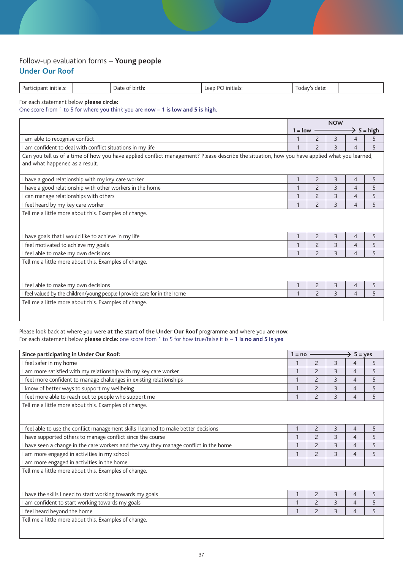#### Follow-up evaluation forms – **Young people Under Our Roof**

| D-<br>untiats. | əir<br>Dai<br>. | ור<br>-IN 11<br>. ا ۱۵<br>σı | uate. |  |
|----------------|-----------------|------------------------------|-------|--|
|                |                 |                              |       |  |
|                |                 |                              |       |  |

For each statement below **please circle:**

One score from 1 to 5 for where you think you are **now** – **1 is low and 5 is high.**

|                                                                                                                                                                                |           |                | <b>NOW</b>     |   |                        |
|--------------------------------------------------------------------------------------------------------------------------------------------------------------------------------|-----------|----------------|----------------|---|------------------------|
|                                                                                                                                                                                | $1 = low$ |                |                |   | $\rightarrow$ 5 = high |
| I am able to recognise conflict                                                                                                                                                |           | $\overline{c}$ | 3              | 4 | 5                      |
| I am confident to deal with conflict situations in my life                                                                                                                     |           | $\overline{c}$ | 3              | 4 | 5                      |
| Can you tell us of a time of how you have applied conflict management? Please describe the situation, how you have applied what you learned,<br>and what happened as a result. |           |                |                |   |                        |
| I have a good relationship with my key care worker                                                                                                                             | 1         | $\overline{2}$ | 3              | 4 | 5                      |
| I have a good relationship with other workers in the home                                                                                                                      | 1         | $\overline{c}$ | 3              | 4 | 5                      |
| I can manage relationships with others                                                                                                                                         |           | $\overline{c}$ | $\overline{3}$ | 4 | 5                      |
| I feel heard by my key care worker                                                                                                                                             |           | $\overline{c}$ | $\overline{3}$ | 4 | 5                      |
| Tell me a little more about this. Examples of change.                                                                                                                          |           |                |                |   |                        |
| I have goals that I would like to achieve in my life                                                                                                                           | 1         | $\overline{c}$ | 3              | 4 | 5                      |
| I feel motivated to achieve my goals                                                                                                                                           | 1         | $\overline{c}$ | $\overline{3}$ | 4 | 5                      |
| I feel able to make my own decisions                                                                                                                                           |           | $\overline{c}$ | 3              | 4 | 5                      |
| Tell me a little more about this. Examples of change.                                                                                                                          |           |                |                |   |                        |
| I feel able to make my own decisions                                                                                                                                           |           | $\overline{c}$ | 3              | 4 | 5                      |
| I feel valued by the children/young people I provide care for in the home                                                                                                      |           | $\overline{z}$ | $\overline{3}$ | 4 | 5                      |
| Tell me a little more about this. Examples of change.                                                                                                                          |           |                |                |   |                        |

Please look back at where you were **at the start of the Under Our Roof** programme and where you are **now**. For each statement below **please circle:** one score from 1 to 5 for how true/false it is – **1 is no and 5 is yes**

| Since participating in Under Our Roof:                                                | $1 = no$ |                          |                | $\rightarrow$ 5 = yes |   |
|---------------------------------------------------------------------------------------|----------|--------------------------|----------------|-----------------------|---|
| I feel safer in my home                                                               |          | $\overline{2}$           | $\overline{3}$ | 4                     | 5 |
| I am more satisfied with my relationship with my key care worker                      |          | $\overline{\phantom{0}}$ | $\overline{3}$ | 4                     | 5 |
| I feel more confident to manage challenges in existing relationships                  |          | $\overline{c}$           | 3              | $\overline{4}$        | 5 |
| I know of better ways to support my wellbeing                                         |          | $\overline{\phantom{0}}$ | $\overline{3}$ | 4                     | 5 |
| I feel more able to reach out to people who support me                                |          | $\overline{\phantom{0}}$ | $\overline{3}$ | 4                     | 5 |
| Tell me a little more about this. Examples of change.                                 |          |                          |                |                       |   |
| I feel able to use the conflict management skills I learned to make better decisions  |          | $\overline{c}$           | 3              | 4                     | 5 |
| I have supported others to manage conflict since the course                           |          | $\overline{2}$           | 3              | $\overline{4}$        | 5 |
| I have seen a change in the care workers and the way they manage conflict in the home |          | $\overline{c}$           | 3              | $\overline{4}$        | 5 |
| I am more engaged in activities in my school                                          |          | $\overline{\phantom{0}}$ | $\mathcal{E}$  | 4                     | 5 |
| am more engaged in activities in the home                                             |          |                          |                |                       |   |
| Tell me a little more about this. Examples of change.                                 |          |                          |                |                       |   |
| I have the skills I need to start working towards my goals                            |          | $\overline{2}$           | 3              | 4                     | 5 |
| am confident to start working towards my goals                                        |          | $\overline{c}$           | $\overline{3}$ | 4                     | 5 |
| I feel heard beyond the home                                                          |          | $\overline{2}$           | $\mathcal{E}$  | 4                     | 5 |
| Tell me a little more about this. Examples of change.                                 |          |                          |                |                       |   |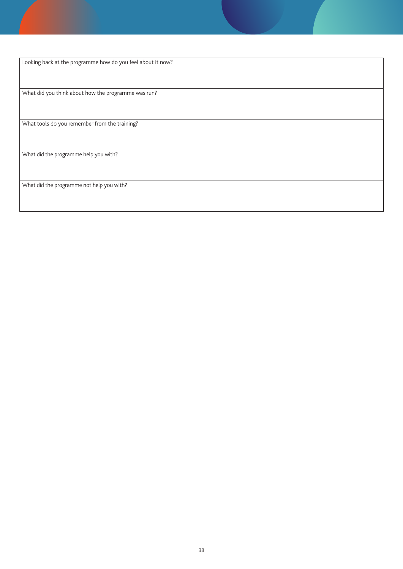Looking back at the programme how do you feel about it now? What did you think about how the programme was run? What tools do you remember from the training? What did the programme help you with? What did the programme not help you with?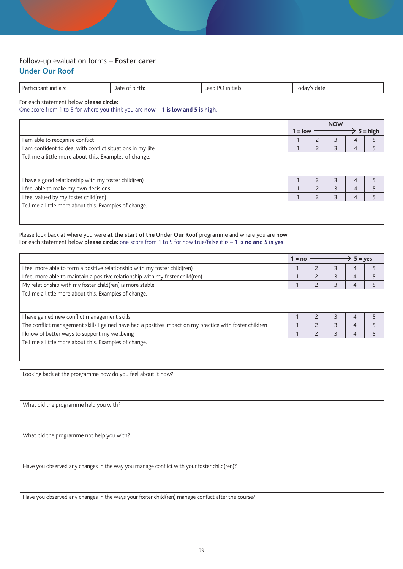#### Follow-up evaluation forms – **Foster carer Under Our Roof**

| Pa <sub>1</sub><br>initials:<br>ما دى+ى<br>n Jafr<br>DIL.<br>anav s<br>iitidis<br>udle<br>.<br>,,,,<br>. |
|----------------------------------------------------------------------------------------------------------|
|----------------------------------------------------------------------------------------------------------|

For each statement below **please circle:**

One score from 1 to 5 for where you think you are **now** – **1 is low and 5 is high.**

|                                                            |           |           | <b>NOW</b> |   |            |
|------------------------------------------------------------|-----------|-----------|------------|---|------------|
|                                                            | $1 = low$ |           |            |   | $5 = high$ |
| I am able to recognise conflict                            |           |           |            | 4 |            |
| I am confident to deal with conflict situations in my life |           |           |            | 4 |            |
| Tell me a little more about this. Examples of change.      |           |           |            |   |            |
|                                                            |           |           |            |   |            |
|                                                            |           |           |            |   |            |
| I have a good relationship with my foster child(ren)       |           |           |            | 4 |            |
| I feel able to make my own decisions                       |           | $\bigcap$ |            | 4 |            |
| I feel valued by my foster child(ren)                      |           |           | ς          | 4 |            |
| Tell me a little more about this. Examples of change.      |           |           |            |   |            |
|                                                            |           |           |            |   |            |
|                                                            |           |           |            |   |            |

Please look back at where you were **at the start of the Under Our Roof** programme and where you are **now**. For each statement below **please circle:** one score from 1 to 5 for how true/false it is – **1 is no and 5 is yes**

|                                                                                                        | $1 = no$ |   | $5 = yes$      |   |
|--------------------------------------------------------------------------------------------------------|----------|---|----------------|---|
| I feel more able to form a positive relationship with my foster child(ren)                             |          | З | 4              | 5 |
| I feel more able to maintain a positive relationship with my foster child(ren)                         |          | 3 | 4              |   |
| My relationship with my foster child(ren) is more stable                                               |          | 3 | 4              |   |
| Tell me a little more about this. Examples of change.                                                  |          |   |                |   |
|                                                                                                        |          |   |                |   |
| I have gained new conflict management skills                                                           |          | 3 | $\overline{4}$ |   |
| The conflict management skills I gained have had a positive impact on my practice with foster children |          | Р | 4              |   |
| I know of better ways to support my wellbeing                                                          |          | 3 | 4              |   |
| Tell me a little more about this. Examples of change.                                                  |          |   |                |   |
|                                                                                                        |          |   |                |   |

Looking back at the programme how do you feel about it now?

What did the programme help you with?

What did the programme not help you with?

Have you observed any changes in the way you manage conflict with your foster child(ren)?

Have you observed any changes in the ways your foster child(ren) manage conflict after the course?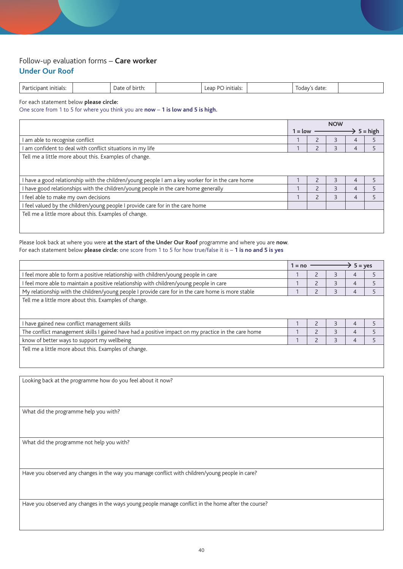#### Follow-up evaluation forms – **Care worker Under Our Roof**

| Par<br>initials:<br>initials.<br>birth:<br>Date<br>date:<br>JURDU.<br>ווהנו<br>. |  |  |  |  |  |  |  |  |
|----------------------------------------------------------------------------------|--|--|--|--|--|--|--|--|
|----------------------------------------------------------------------------------|--|--|--|--|--|--|--|--|

For each statement below **please circle:**

One score from 1 to 5 for where you think you are **now** – **1 is low and 5 is high.**

|                                                                                                  |           | <b>NOW</b>     |   |   |            |
|--------------------------------------------------------------------------------------------------|-----------|----------------|---|---|------------|
|                                                                                                  | $1 =$ low |                |   |   | $5 = high$ |
| I am able to recognise conflict                                                                  |           |                |   |   |            |
| I am confident to deal with conflict situations in my life                                       |           |                |   | 4 |            |
| Tell me a little more about this. Examples of change.                                            |           |                |   |   |            |
|                                                                                                  |           |                |   |   |            |
|                                                                                                  |           |                |   |   |            |
| I have a good relationship with the children/young people I am a key worker for in the care home |           |                |   | 4 |            |
| I have good relationships with the children/young people in the care home generally              |           | $\overline{z}$ | ς | 4 |            |
| I feel able to make my own decisions                                                             |           |                |   | 4 |            |
| I feel valued by the children/young people I provide care for in the care home                   |           |                |   |   |            |
| Tell me a little more about this. Examples of change.                                            |           |                |   |   |            |
|                                                                                                  |           |                |   |   |            |
|                                                                                                  |           |                |   |   |            |

Please look back at where you were **at the start of the Under Our Roof** programme and where you are **now**. For each statement below **please circle:** one score from 1 to 5 for how true/false it is – **1 is no and 5 is yes**

|                                                                                                    | $1 = no$ |                          |                         | $5 = yes$ |   |
|----------------------------------------------------------------------------------------------------|----------|--------------------------|-------------------------|-----------|---|
| I feel more able to form a positive relationship with children/young people in care                |          |                          |                         | 4         |   |
| I feel more able to maintain a positive relationship with children/young people in care            |          |                          | 3                       | 4         |   |
| My relationship with the children/young people I provide care for in the care home is more stable  |          |                          | 3                       | 4         |   |
| Tell me a little more about this. Examples of change.                                              |          |                          |                         |           |   |
|                                                                                                    |          |                          |                         |           |   |
| I have gained new conflict management skills                                                       |          |                          | $\overline{\mathsf{B}}$ | 4         | 5 |
| The conflict management skills I gained have had a positive impact on my practice in the care home |          | $\overline{\phantom{0}}$ | $\overline{\mathsf{B}}$ | 4         |   |
| know of better ways to support my wellbeing                                                        |          |                          | Р                       | 4         |   |
| Tell me a little more about this. Examples of change.                                              |          |                          |                         |           |   |

Looking back at the programme how do you feel about it now?

What did the programme help you with?

What did the programme not help you with?

Have you observed any changes in the way you manage conflict with children/young people in care?

Have you observed any changes in the ways young people manage conflict in the home after the course?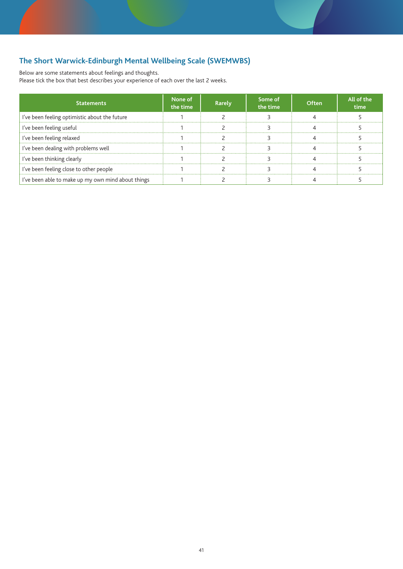## **The Short Warwick-Edinburgh Mental Wellbeing Scale (SWEMWBS)**

Below are some statements about feelings and thoughts.

Please tick the box that best describes your experience of each over the last 2 weeks.

| <b>Statements</b>                                  | None of<br>the time | Rarely | Some of<br>the time | Often | All of the<br>time |
|----------------------------------------------------|---------------------|--------|---------------------|-------|--------------------|
| I've been feeling optimistic about the future      |                     |        |                     |       |                    |
| I've been feeling useful                           |                     |        |                     |       |                    |
| I've been feeling relaxed                          |                     |        |                     |       |                    |
| I've been dealing with problems well               |                     |        |                     |       |                    |
| I've been thinking clearly                         |                     |        |                     |       |                    |
| I've been feeling close to other people            |                     |        |                     |       |                    |
| I've been able to make up my own mind about things |                     |        |                     |       |                    |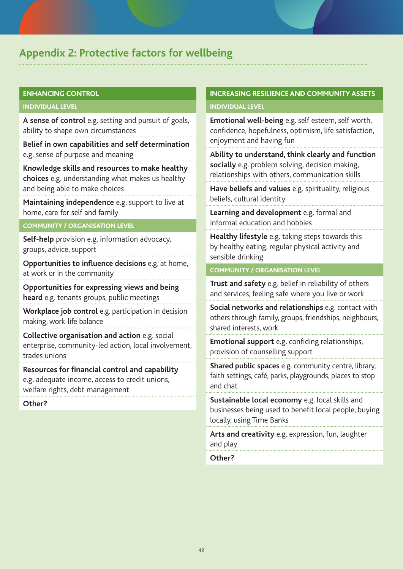## **Appendix 2: Protective factors for wellbeing**

#### **ENHANCING CONTROL**

#### **INDIVIDUAL LEVEL**

**A sense of control** e.g. setting and pursuit of goals, ability to shape own circumstances

**Belief in own capabilities and self determination** e.g. sense of purpose and meaning

**Knowledge skills and resources to make healthy choices** e.g. understanding what makes us healthy and being able to make choices

**Maintaining independence** e.g. support to live at home, care for self and family

#### **COMMUNITY / ORGANISATION LEVEL**

**Self-help** provision e.g. information advocacy, groups, advice, support

**Opportunities to influence decisions** e.g. at home, at work or in the community

**Opportunities for expressing views and being heard** e.g. tenants groups, public meetings

**Workplace job control** e.g. participation in decision making, work-life balance

**Collective organisation and action** e.g. social enterprise, community-led action, local involvement, trades unions

**Resources for financial control and capability** e.g. adequate income, access to credit unions, welfare rights, debt management

#### **Other?**

### **INCREASING RESILIENCE AND COMMUNITY ASSETS INDIVIDUAL LEVEL**

**Emotional well-being** e.g. self esteem, self worth, confidence, hopefulness, optimism, life satisfaction, enjoyment and having fun

**Ability to understand, think clearly and function socially** e.g. problem solving, decision making, relationships with others, communication skills

**Have beliefs and values** e.g. spirituality, religious beliefs, cultural identity

**Learning and development** e.g. formal and informal education and hobbies

**Healthy lifestyle** e.g. taking steps towards this by healthy eating, regular physical activity and sensible drinking

#### **COMMUNITY / ORGANISATION LEVEL**

**Trust and safety** e.g. belief in reliability of others and services, feeling safe where you live or work

**Social networks and relationships** e.g. contact with others through family, groups, friendships, neighbours, shared interests, work

**Emotional support** e.g. confiding relationships, provision of counselling support

**Shared public spaces** e.g. community centre, library, faith settings, café, parks, playgrounds, places to stop and chat

**Sustainable local economy** e.g. local skills and businesses being used to benefit local people, buying locally, using Time Banks

**Arts and creativity** e.g. expression, fun, laughter and play

**Other?**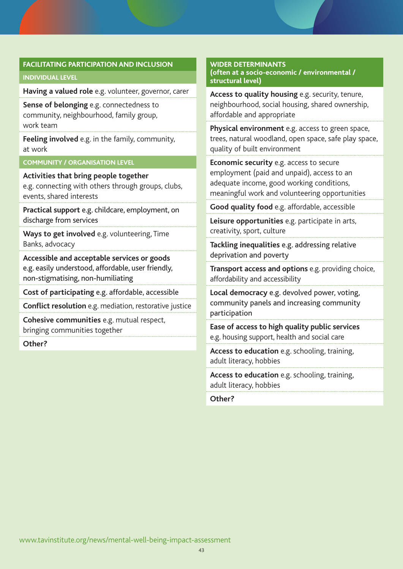#### **FACILITATING PARTICIPATION AND INCLUSION**

#### **INDIVIDUAL LEVEL**

**Having a valued role** e.g. volunteer, governor, carer

**Sense of belonging** e.g. connectedness to community, neighbourhood, family group, work team

**Feeling involved** e.g. in the family, community, at work

#### **COMMUNITY / ORGANISATION LEVEL**

**Activities that bring people together**  e.g. connecting with others through groups, clubs, events, shared interests

**Practical support** e.g. childcare, employment, on discharge from services

**Ways to get involved** e.g. volunteering, Time Banks, advocacy

**Accessible and acceptable services or goods**  e.g. easily understood, affordable, user friendly, non-stigmatising, non-humiliating

**Cost of participating** e.g. affordable, accessible

**Conflict resolution** e.g. mediation, restorative justice

**Cohesive communities** e.g. mutual respect, bringing communities together

**Other?**

#### **WIDER DETERMINANTS (often at a socio-economic / environmental / structural level)**

**Access to quality housing** e.g. security, tenure, neighbourhood, social housing, shared ownership, affordable and appropriate

**Physical environment** e.g. access to green space, trees, natural woodland, open space, safe play space, quality of built environment

**Economic security** e.g. access to secure employment (paid and unpaid), access to an adequate income, good working conditions, meaningful work and volunteering opportunities

**Good quality food** e.g. affordable, accessible

**Leisure opportunities** e.g. participate in arts, creativity, sport, culture

**Tackling inequalities** e.g. addressing relative deprivation and poverty

**Transport access and options** e.g. providing choice, affordability and accessibility

**Local democracy** e.g. devolved power, voting, community panels and increasing community participation

**Ease of access to high quality public services**  e.g. housing support, health and social care

**Access to education** e.g. schooling, training, adult literacy, hobbies

**Access to education** e.g. schooling, training, adult literacy, hobbies

**Other?**